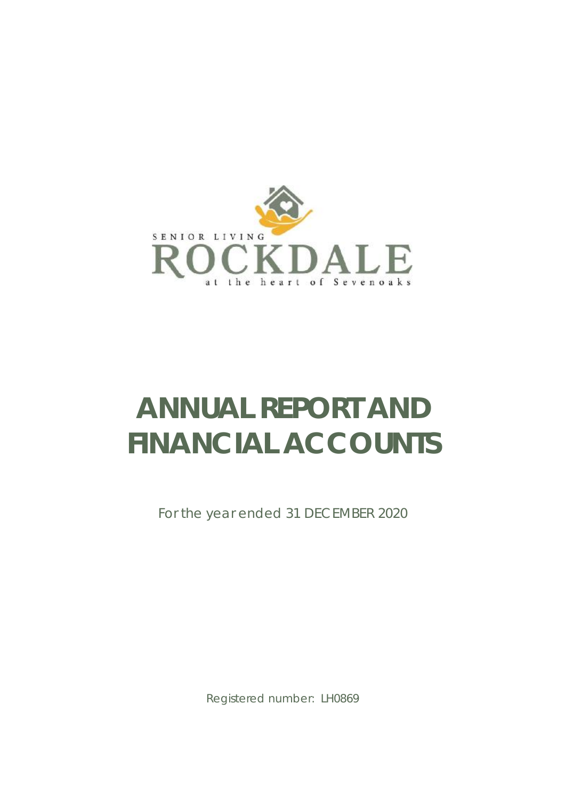

# **ANNUAL REPORT AND FINANCIAL ACCOUNTS**

For the year ended 31 DECEMBER 2020

Registered number: LH0869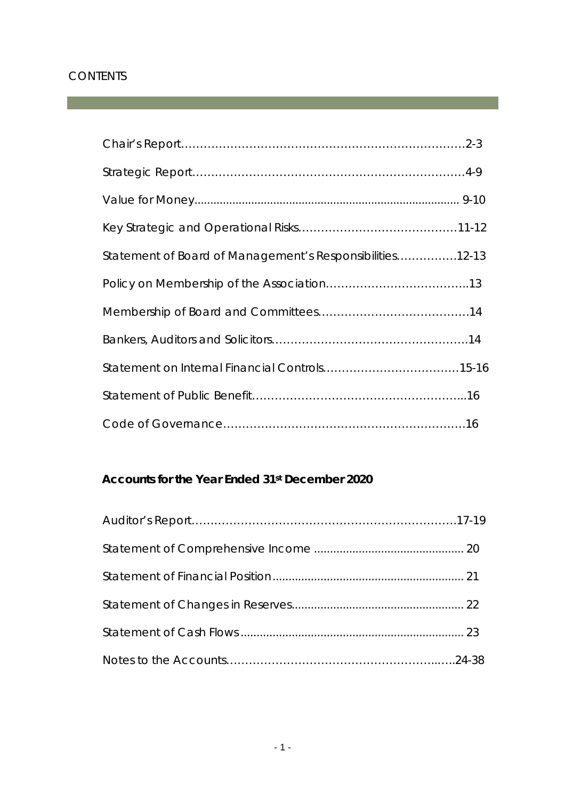# **CONTENTS**

| Statement of Board of Management's Responsibilities12-13 |  |
|----------------------------------------------------------|--|
|                                                          |  |
|                                                          |  |
|                                                          |  |
|                                                          |  |
|                                                          |  |
|                                                          |  |

# **Accounts for the Year Ended 31st December 2020**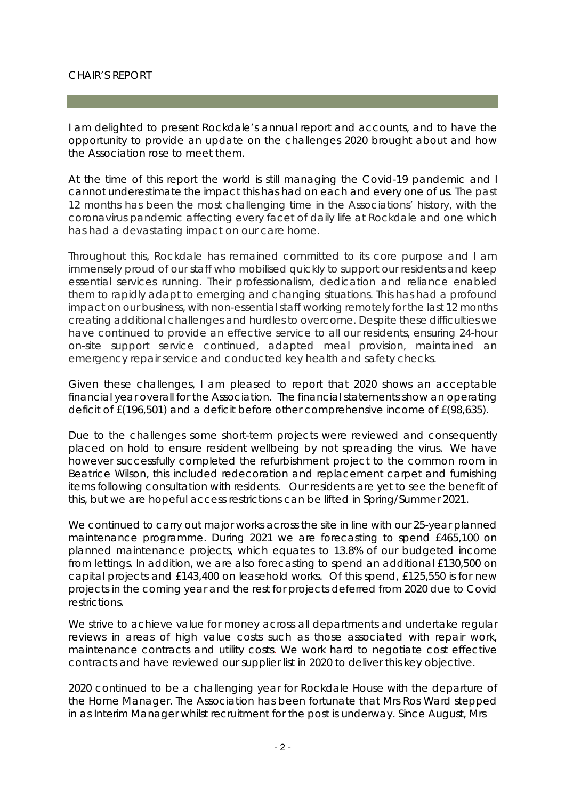#### CHAIR'S REPORT

I am delighted to present Rockdale's annual report and accounts, and to have the opportunity to provide an update on the challenges 2020 brought about and how the Association rose to meet them.

At the time of this report the world is still managing the Covid-19 pandemic and I cannot underestimate the impact this has had on each and every one of us. The past 12 months has been the most challenging time in the Associations' history, with the coronavirus pandemic affecting every facet of daily life at Rockdale and one which has had a devastating impact on our care home.

Throughout this, Rockdale has remained committed to its core purpose and I am immensely proud of our staff who mobilised quickly to support our residents and keep essential services running. Their professionalism, dedication and reliance enabled them to rapidly adapt to emerging and changing situations. This has had a profound impact on our business, with non-essential staff working remotely for the last 12 months creating additional challenges and hurdles to overcome. Despite these difficulties we have continued to provide an effective service to all our residents, ensuring 24-hour on-site support service continued, adapted meal provision, maintained an emergency repair service and conducted key health and safety checks.

Given these challenges, I am pleased to report that 2020 shows an acceptable financial year overall for the Association. The financial statements show an operating deficit of £(196,501) and a deficit before other comprehensive income of £(98,635).

Due to the challenges some short-term projects were reviewed and consequently placed on hold to ensure resident wellbeing by not spreading the virus. We have however successfully completed the refurbishment project to the common room in Beatrice Wilson, this included redecoration and replacement carpet and furnishing items following consultation with residents. Our residents are yet to see the benefit of this, but we are hopeful access restrictions can be lifted in Spring/Summer 2021.

We continued to carry out major works across the site in line with our 25-year planned maintenance programme. During 2021 we are forecasting to spend £465,100 on planned maintenance projects, which equates to 13.8% of our budgeted income from lettings. In addition, we are also forecasting to spend an additional £130,500 on capital projects and £143,400 on leasehold works. Of this spend, £125,550 is for new projects in the coming year and the rest for projects deferred from 2020 due to Covid restrictions.

We strive to achieve value for money across all departments and undertake regular reviews in areas of high value costs such as those associated with repair work, maintenance contracts and utility costs. We work hard to negotiate cost effective contracts and have reviewed our supplier list in 2020 to deliver this key objective.

2020 continued to be a challenging year for Rockdale House with the departure of the Home Manager. The Association has been fortunate that Mrs Ros Ward stepped in as Interim Manager whilst recruitment for the post is underway. Since August, Mrs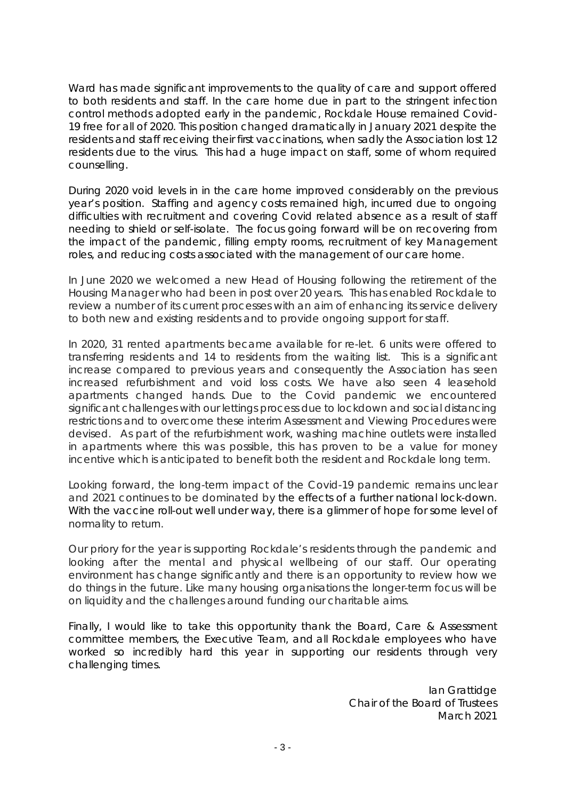Ward has made significant improvements to the quality of care and support offered to both residents and staff. In the care home due in part to the stringent infection control methods adopted early in the pandemic, Rockdale House remained Covid-19 free for all of 2020. This position changed dramatically in January 2021 despite the residents and staff receiving their first vaccinations, when sadly the Association lost 12 residents due to the virus. This had a huge impact on staff, some of whom required counselling.

During 2020 void levels in in the care home improved considerably on the previous year's position. Staffing and agency costs remained high, incurred due to ongoing difficulties with recruitment and covering Covid related absence as a result of staff needing to shield or self-isolate. The focus going forward will be on recovering from the impact of the pandemic, filling empty rooms, recruitment of key Management roles, and reducing costs associated with the management of our care home.

In June 2020 we welcomed a new Head of Housing following the retirement of the Housing Manager who had been in post over 20 years. This has enabled Rockdale to review a number of its current processes with an aim of enhancing its service delivery to both new and existing residents and to provide ongoing support for staff.

In 2020, 31 rented apartments became available for re-let. 6 units were offered to transferring residents and 14 to residents from the waiting list. This is a significant increase compared to previous years and consequently the Association has seen increased refurbishment and void loss costs. We have also seen 4 leasehold apartments changed hands. Due to the Covid pandemic we encountered significant challenges with our lettings process due to lockdown and social distancing restrictions and to overcome these interim Assessment and Viewing Procedures were devised. As part of the refurbishment work, washing machine outlets were installed in apartments where this was possible, this has proven to be a value for money incentive which is anticipated to benefit both the resident and Rockdale long term.

Looking forward, the long-term impact of the Covid-19 pandemic remains unclear and 2021 continues to be dominated by the effects of a further national lock-down. With the vaccine roll-out well under way, there is a glimmer of hope for some level of normality to return.

Our priory for the year is supporting Rockdale's residents through the pandemic and looking after the mental and physical wellbeing of our staff. Our operating environment has change significantly and there is an opportunity to review how we do things in the future. Like many housing organisations the longer-term focus will be on liquidity and the challenges around funding our charitable aims.

Finally, I would like to take this opportunity thank the Board, Care & Assessment committee members, the Executive Team, and all Rockdale employees who have worked so incredibly hard this year in supporting our residents through very challenging times.

> Ian Grattidge Chair of the Board of Trustees March 2021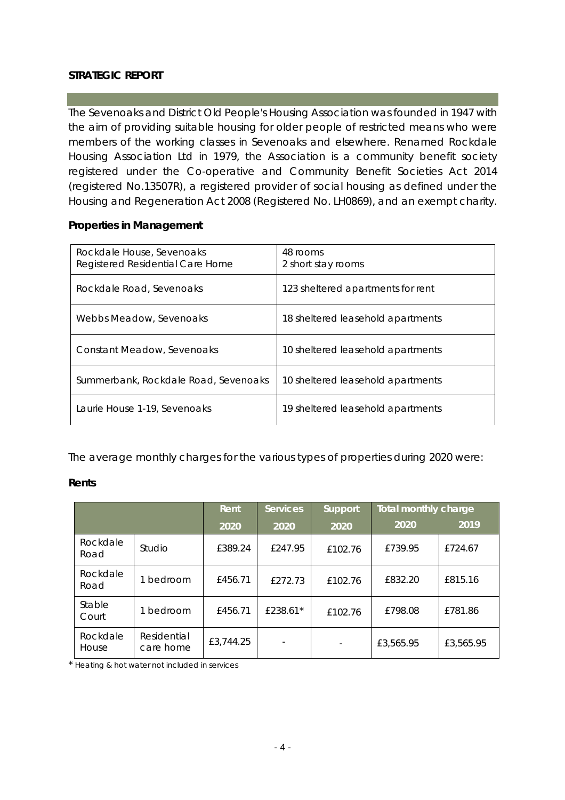#### **STRATEGIC REPORT**

The Sevenoaks and District Old People's Housing Association was founded in 1947 with the aim of providing suitable housing for older people of restricted means who were members of the working classes in Sevenoaks and elsewhere. Renamed Rockdale Housing Association Ltd in 1979, the Association is a community benefit society registered under the Co-operative and Community Benefit Societies Act 2014 (registered No.13507R), a registered provider of social housing as defined under the Housing and Regeneration Act 2008 (Registered No. LH0869), and an exempt charity.

#### **Properties in Management**

| Rockdale House, Sevenoaks<br>Registered Residential Care Home | 48 rooms<br>2 short stay rooms    |
|---------------------------------------------------------------|-----------------------------------|
| Rockdale Road, Sevenoaks                                      | 123 sheltered apartments for rent |
| Webbs Meadow, Sevenoaks                                       | 18 sheltered leasehold apartments |
| Constant Meadow, Sevenoaks                                    | 10 sheltered leasehold apartments |
| Summerbank, Rockdale Road, Sevenoaks                          | 10 sheltered leasehold apartments |
| Laurie House 1-19, Sevenoaks                                  | 19 sheltered leasehold apartments |

The average monthly charges for the various types of properties during 2020 were:

**Rents**

|                   |                          | <b>Rent</b> | <b>Services</b> | Support | Total monthly charge |           |
|-------------------|--------------------------|-------------|-----------------|---------|----------------------|-----------|
|                   |                          | 2020        | 2020            | 2020    | 2020                 | 2019      |
| Rockdale<br>Road  | Studio                   | £389.24     | £247.95         | £102.76 | £739.95              | £724.67   |
| Rockdale<br>Road  | bedroom                  | £456.71     | £272.73         | £102.76 | £832.20              | £815.16   |
| Stable<br>Court   | bedroom                  | £456.71     | £238.61*        | £102.76 | £798.08              | £781.86   |
| Rockdale<br>House | Residential<br>care home | £3,744.25   |                 |         | £3,565.95            | £3,565.95 |

\* Heating & hot water not included in services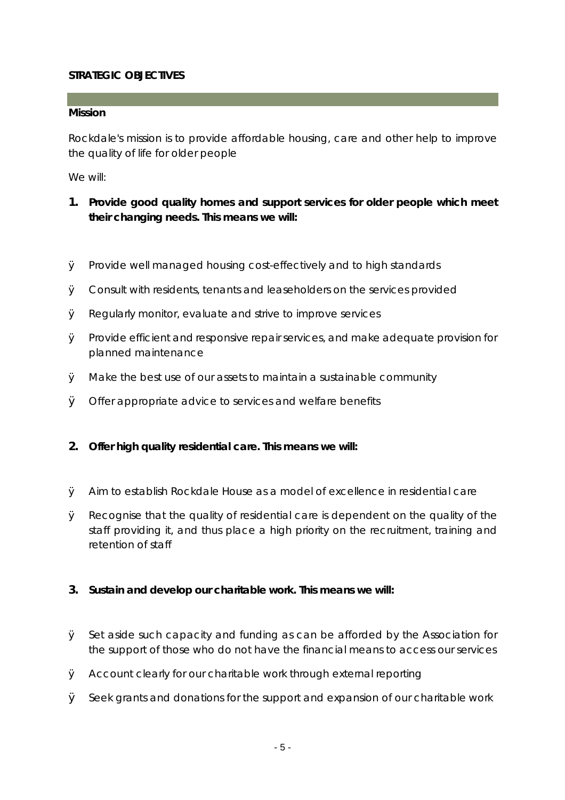#### **STRATEGIC OBJECTIVES**

**Mission** 

Rockdale's mission is to provide affordable housing, care and other help to improve the quality of life for older people

We will:

- **1. Provide good quality homes and support services for older people which meet their changing needs. This means we will:**
- Ø Provide well managed housing cost-effectively and to high standards
- Ø Consult with residents, tenants and leaseholders on the services provided
- Ø Regularly monitor, evaluate and strive to improve services
- $\emptyset$  Provide efficient and responsive repair services, and make adequate provision for planned maintenance
- Ø Make the best use of our assets to maintain a sustainable community
- Ø Offer appropriate advice to services and welfare benefits
- **2. Offer high quality residential care. This means we will:**
- Ø Aim to establish Rockdale House as a model of excellence in residential care
- Ø Recognise that the quality of residential care is dependent on the quality of the staff providing it, and thus place a high priority on the recruitment, training and retention of staff
- **3. Sustain and develop our charitable work. This means we will:**
- Ø Set aside such capacity and funding as can be afforded by the Association for the support of those who do not have the financial means to access our services
- Ø Account clearly for our charitable work through external reporting
- $\emptyset$  Seek grants and donations for the support and expansion of our charitable work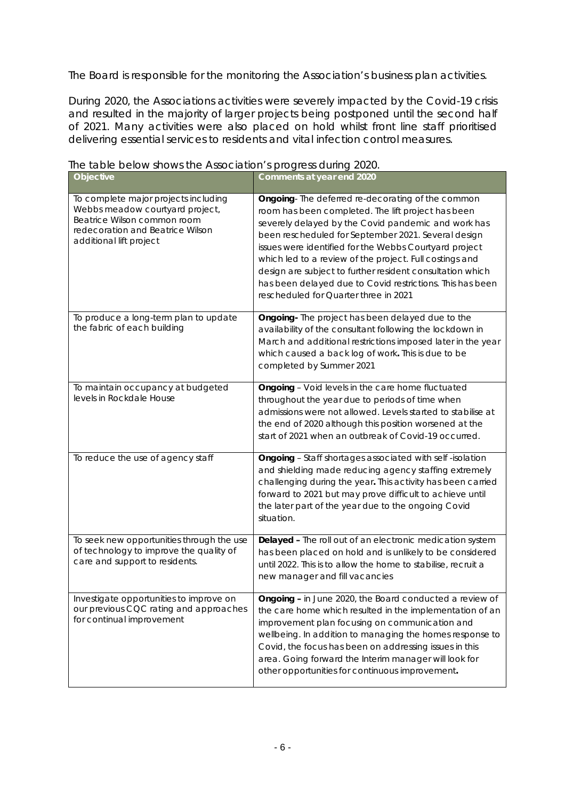The Board is responsible for the monitoring the Association's business plan activities.

During 2020, the Associations activities were severely impacted by the Covid-19 crisis and resulted in the majority of larger projects being postponed until the second half of 2021. Many activities were also placed on hold whilst front line staff prioritised delivering essential services to residents and vital infection control measures.

| Objective                                                                                                                                                             | Comments at year end 2020                                                                                                                                                                                                                                                                                                                                                                                                                                                                                    |
|-----------------------------------------------------------------------------------------------------------------------------------------------------------------------|--------------------------------------------------------------------------------------------------------------------------------------------------------------------------------------------------------------------------------------------------------------------------------------------------------------------------------------------------------------------------------------------------------------------------------------------------------------------------------------------------------------|
| To complete major projects including<br>Webbs meadow courtyard project,<br>Beatrice Wilson common room<br>redecoration and Beatrice Wilson<br>additional lift project | Ongoing-The deferred re-decorating of the common<br>room has been completed. The lift project has been<br>severely delayed by the Covid pandemic and work has<br>been rescheduled for September 2021. Several design<br>issues were identified for the Webbs Courtyard project<br>which led to a review of the project. Full costings and<br>design are subject to further resident consultation which<br>has been delayed due to Covid restrictions. This has been<br>rescheduled for Quarter three in 2021 |
| To produce a long-term plan to update<br>the fabric of each building                                                                                                  | Ongoing- The project has been delayed due to the<br>availability of the consultant following the lockdown in<br>March and additional restrictions imposed later in the year<br>which caused a back log of work. This is due to be<br>completed by Summer 2021                                                                                                                                                                                                                                                |
| To maintain occupancy at budgeted<br>levels in Rockdale House                                                                                                         | Ongoing - Void levels in the care home fluctuated<br>throughout the year due to periods of time when<br>admissions were not allowed. Levels started to stabilise at<br>the end of 2020 although this position worsened at the<br>start of 2021 when an outbreak of Covid-19 occurred.                                                                                                                                                                                                                        |
| To reduce the use of agency staff                                                                                                                                     | Ongoing - Staff shortages associated with self -isolation<br>and shielding made reducing agency staffing extremely<br>challenging during the year. This activity has been carried<br>forward to 2021 but may prove difficult to achieve until<br>the later part of the year due to the ongoing Covid<br>situation.                                                                                                                                                                                           |
| To seek new opportunities through the use<br>of technology to improve the quality of<br>care and support to residents.                                                | Delayed - The roll out of an electronic medication system<br>has been placed on hold and is unlikely to be considered<br>until 2022. This is to allow the home to stabilise, recruit a<br>new manager and fill vacancies                                                                                                                                                                                                                                                                                     |
| Investigate opportunities to improve on<br>our previous CQC rating and approaches<br>for continual improvement                                                        | Ongoing - in June 2020, the Board conducted a review of<br>the care home which resulted in the implementation of an<br>improvement plan focusing on communication and<br>wellbeing. In addition to managing the homes response to<br>Covid, the focus has been on addressing issues in this<br>area. Going forward the Interim manager will look for<br>other opportunities for continuous improvement.                                                                                                      |

The table below shows the Association's progress during 2020.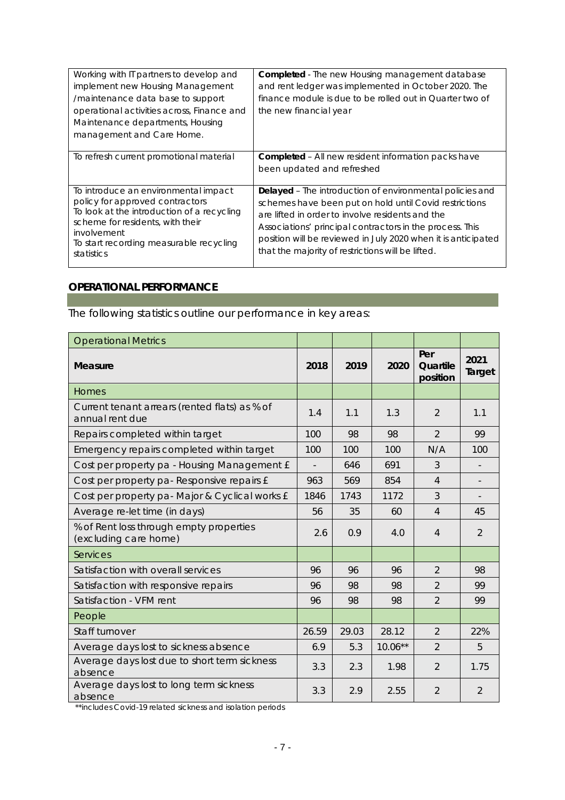| Working with IT partners to develop and<br>implement new Housing Management<br>/maintenance data base to support<br>operational activities across, Finance and<br>Maintenance departments, Housing<br>management and Care Home.   | Completed - The new Housing management database<br>and rent ledger was implemented in October 2020. The<br>finance module is due to be rolled out in Quarter two of<br>the new financial year                                                                                                                                                            |
|-----------------------------------------------------------------------------------------------------------------------------------------------------------------------------------------------------------------------------------|----------------------------------------------------------------------------------------------------------------------------------------------------------------------------------------------------------------------------------------------------------------------------------------------------------------------------------------------------------|
| To refresh current promotional material                                                                                                                                                                                           | Completed – All new resident information packs have<br>been updated and refreshed                                                                                                                                                                                                                                                                        |
| To introduce an environmental impact<br>policy for approved contractors<br>To look at the introduction of a recycling<br>scheme for residents, with their<br>involvement<br>To start recording measurable recycling<br>statistics | Delayed - The introduction of environmental policies and<br>schemes have been put on hold until Covid restrictions<br>are lifted in order to involve residents and the<br>Associations' principal contractors in the process. This<br>position will be reviewed in July 2020 when it is anticipated<br>that the majority of restrictions will be lifted. |

# **OPERATIONAL PERFORMANCE**

The following statistics outline our performance in key areas:

| <b>Operational Metrics</b>                                       |       |       |           |                             |                |
|------------------------------------------------------------------|-------|-------|-----------|-----------------------------|----------------|
| <b>Measure</b>                                                   | 2018  | 2019  | 2020      | Per<br>Quartile<br>position | 2021<br>Target |
| Homes                                                            |       |       |           |                             |                |
| Current tenant arrears (rented flats) as % of<br>annual rent due | 1.4   | 1.1   | 1.3       | 2                           | 1.1            |
| Repairs completed within target                                  | 100   | 98    | 98        | $\overline{2}$              | 99             |
| Emergency repairs completed within target                        | 100   | 100   | 100       | N/A                         | 100            |
| Cost per property pa - Housing Management £                      |       | 646   | 691       | 3                           |                |
| Cost per property pa-Responsive repairs £                        | 963   | 569   | 854       | $\overline{4}$              |                |
| Cost per property pa- Major & Cyclical works £                   | 1846  | 1743  | 1172      | 3                           |                |
| Average re-let time (in days)                                    | 56    | 35    | 60        | $\overline{4}$              | 45             |
| % of Rent loss through empty properties<br>(excluding care home) | 2.6   | 0.9   | 4.0       | 4                           | $\overline{2}$ |
| <b>Services</b>                                                  |       |       |           |                             |                |
| Satisfaction with overall services                               | 96    | 96    | 96        | $\overline{2}$              | 98             |
| Satisfaction with responsive repairs                             | 96    | 98    | 98        | 2                           | 99             |
| Satisfaction - VFM rent                                          | 96    | 98    | 98        | 2                           | 99             |
| People                                                           |       |       |           |                             |                |
| Staff turnover                                                   | 26.59 | 29.03 | 28.12     | $\overline{2}$              | 22%            |
| Average days lost to sickness absence                            | 6.9   | 5.3   | $10.06**$ | $\overline{2}$              | 5              |
| Average days lost due to short term sickness<br>absence          | 3.3   | 2.3   | 1.98      | $\overline{2}$              | 1.75           |
| Average days lost to long term sickness<br>absence               | 3.3   | 2.9   | 2.55      | $\overline{2}$              | $\overline{2}$ |

\*\*includes Covid-19 related sickness and isolation periods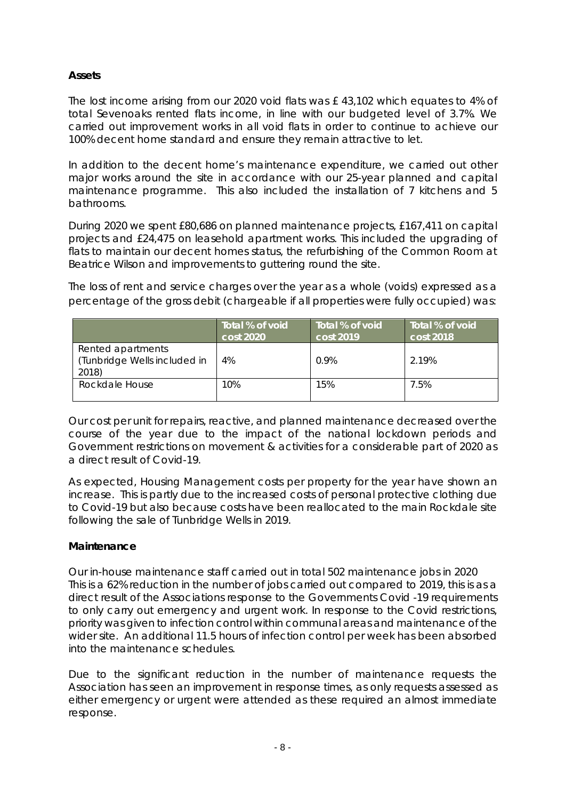## **Assets**

The lost income arising from our 2020 void flats was £ 43,102 which equates to 4% of total Sevenoaks rented flats income, in line with our budgeted level of 3.7%. We carried out improvement works in all void flats in order to continue to achieve our 100% decent home standard and ensure they remain attractive to let.

In addition to the decent home's maintenance expenditure, we carried out other major works around the site in accordance with our 25-year planned and capital maintenance programme. This also included the installation of 7 kitchens and 5 bathrooms.

During 2020 we spent £80,686 on planned maintenance projects, £167,411 on capital projects and £24,475 on leasehold apartment works. This included the upgrading of flats to maintain our decent homes status, the refurbishing of the Common Room at Beatrice Wilson and improvements to guttering round the site.

The loss of rent and service charges over the year as a whole (voids) expressed as a percentage of the gross debit (chargeable if all properties were fully occupied) was:

|                                                            | Total % of void<br>cost 2020 | Total % of void<br>cost 2019 | Total % of void<br>cost 2018 |
|------------------------------------------------------------|------------------------------|------------------------------|------------------------------|
| Rented apartments<br>(Tunbridge Wells included in<br>2018) | 4%                           | 0.9%                         | 2.19%                        |
| Rockdale House                                             | 10%                          | 15%                          | 7.5%                         |

Our cost per unit for repairs, reactive, and planned maintenance decreased over the course of the year due to the impact of the national lockdown periods and Government restrictions on movement & activities for a considerable part of 2020 as a direct result of Covid-19.

As expected, Housing Management costs per property for the year have shown an increase. This is partly due to the increased costs of personal protective clothing due to Covid-19 but also because costs have been reallocated to the main Rockdale site following the sale of Tunbridge Wells in 2019.

## **Maintenance**

Our in-house maintenance staff carried out in total 502 maintenance jobs in 2020 This is a 62% reduction in the number of jobs carried out compared to 2019, this is as a direct result of the Associations response to the Governments Covid -19 requirements to only carry out emergency and urgent work. In response to the Covid restrictions, priority was given to infection control within communal areas and maintenance of the wider site. An additional 11.5 hours of infection control per week has been absorbed into the maintenance schedules.

Due to the significant reduction in the number of maintenance requests the Association has seen an improvement in response times, as only requests assessed as either emergency or urgent were attended as these required an almost immediate response.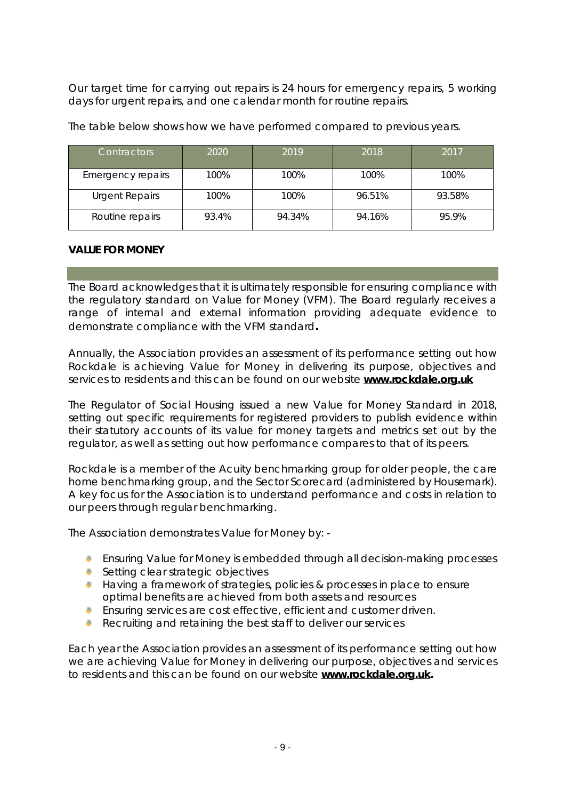Our target time for carrying out repairs is 24 hours for emergency repairs, 5 working days for urgent repairs, and one calendar month for routine repairs.

| <b>Contractors</b>       | 2020  | 2019   | 2018   | 2017   |
|--------------------------|-------|--------|--------|--------|
| <b>Emergency repairs</b> | 100%  | 100%   | 100%   | 100%   |
| <b>Urgent Repairs</b>    | 100%  | 100%   | 96.51% | 93.58% |
| Routine repairs          | 93.4% | 94.34% | 94.16% | 95.9%  |

The table below shows how we have performed compared to previous years.

#### **VALUE FOR MONEY**

The Board acknowledges that it is ultimately responsible for ensuring compliance with the regulatory standard on Value for Money (VFM). The Board regularly receives a range of internal and external information providing adequate evidence to demonstrate compliance with the VFM standard**.**

Annually, the Association provides an assessment of its performance setting out how Rockdale is achieving Value for Money in delivering its purpose, objectives and services to residents and this can be found on our website **[www.rockdale.org.uk](http://www.rockdale.org.uk)**

The Regulator of Social Housing issued a new Value for Money Standard in 2018, setting out specific requirements for registered providers to publish evidence within their statutory accounts of its value for money targets and metrics set out by the regulator, as well as setting out how performance compares to that of its peers.

Rockdale is a member of the Acuity benchmarking group for older people, the care home benchmarking group, and the Sector Scorecard (administered by Housemark). A key focus for the Association is to understand performance and costs in relation to our peers through regular benchmarking.

The Association demonstrates Value for Money by: -

- Ensuring Value for Money is embedded through all decision-making processes
- Setting clear strategic objectives
- ◆ Having a framework of strategies, policies & processes in place to ensure optimal benefits are achieved from both assets and resources
- **Ensuring services are cost effective, efficient and customer driven.**
- Recruiting and retaining the best staff to deliver our services

Each year the Association provides an assessment of its performance setting out how we are achieving Value for Money in delivering our purpose, objectives and services to residents and this can be found on our website **[www.rockdale.org.uk.](http://www.rockdale.org.uk)**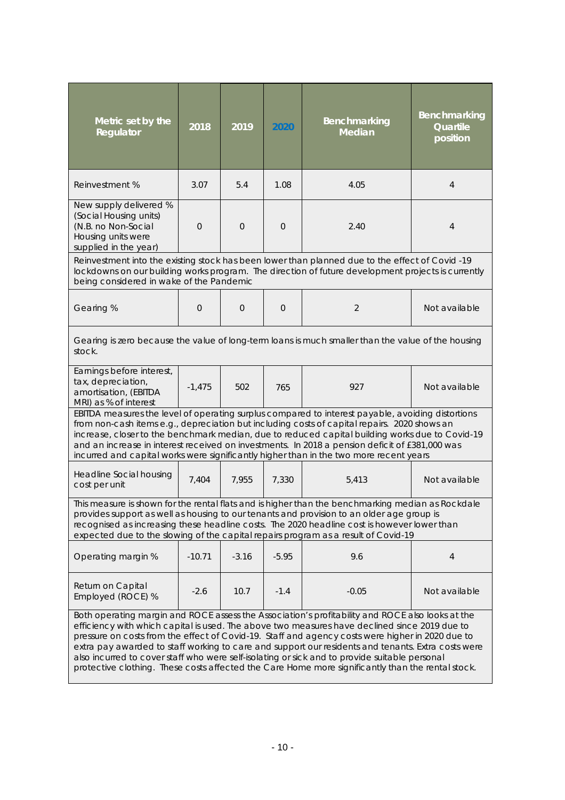| Metric set by the<br>Regulator                                                                                                                                                                                                                                                                                                                                                                                                                                                                                                                                                                                    | 2018     | 2019        | 2020     | Benchmarking<br>Median                                                                                                                                                                                | Benchmarking<br>Quartile<br>position |
|-------------------------------------------------------------------------------------------------------------------------------------------------------------------------------------------------------------------------------------------------------------------------------------------------------------------------------------------------------------------------------------------------------------------------------------------------------------------------------------------------------------------------------------------------------------------------------------------------------------------|----------|-------------|----------|-------------------------------------------------------------------------------------------------------------------------------------------------------------------------------------------------------|--------------------------------------|
| Reinvestment %                                                                                                                                                                                                                                                                                                                                                                                                                                                                                                                                                                                                    | 3.07     | 5.4         | 1.08     | 4.05                                                                                                                                                                                                  | 4                                    |
| New supply delivered %<br>(Social Housing units)<br>(N.B. no Non-Social<br>Housing units were<br>supplied in the year)                                                                                                                                                                                                                                                                                                                                                                                                                                                                                            | $\Omega$ | $\mathbf 0$ | $\Omega$ | 2.40                                                                                                                                                                                                  | 4                                    |
| being considered in wake of the Pandemic                                                                                                                                                                                                                                                                                                                                                                                                                                                                                                                                                                          |          |             |          | Reinvestment into the existing stock has been lower than planned due to the effect of Covid -19<br>lockdowns on our building works program. The direction of future development projects is currently |                                      |
| Gearing %                                                                                                                                                                                                                                                                                                                                                                                                                                                                                                                                                                                                         | 0        | $\Omega$    | $\Omega$ | 2                                                                                                                                                                                                     | Not available                        |
| stock.                                                                                                                                                                                                                                                                                                                                                                                                                                                                                                                                                                                                            |          |             |          | Gearing is zero because the value of long-term loans is much smaller than the value of the housing                                                                                                    |                                      |
| Earnings before interest,<br>tax, depreciation,<br>amortisation, (EBITDA<br>MRI) as % of interest                                                                                                                                                                                                                                                                                                                                                                                                                                                                                                                 | $-1,475$ | 502         | 765      | 927                                                                                                                                                                                                   | Not available                        |
| EBITDA measures the level of operating surplus compared to interest payable, avoiding distortions<br>from non-cash items e.g., depreciation but including costs of capital repairs. 2020 shows an<br>increase, closer to the benchmark median, due to reduced capital building works due to Covid-19<br>and an increase in interest received on investments. In 2018 a pension deficit of £381,000 was<br>incurred and capital works were significantly higher than in the two more recent years                                                                                                                  |          |             |          |                                                                                                                                                                                                       |                                      |
| Headline Social housing<br>cost per unit                                                                                                                                                                                                                                                                                                                                                                                                                                                                                                                                                                          | 7,404    | 7,955       | 7,330    | 5,413                                                                                                                                                                                                 | Not available                        |
| This measure is shown for the rental flats and is higher than the benchmarking median as Rockdale<br>provides support as well as housing to our tenants and provision to an older age group is<br>recognised as increasing these headline costs. The 2020 headline cost is however lower than<br>expected due to the slowing of the capital repairs program as a result of Covid-19                                                                                                                                                                                                                               |          |             |          |                                                                                                                                                                                                       |                                      |
| Operating margin %                                                                                                                                                                                                                                                                                                                                                                                                                                                                                                                                                                                                | $-10.71$ | $-3.16$     | $-5.95$  | 9.6                                                                                                                                                                                                   | $\overline{4}$                       |
| Return on Capital<br>Employed (ROCE) %                                                                                                                                                                                                                                                                                                                                                                                                                                                                                                                                                                            | $-2.6$   | 10.7        | $-1.4$   | $-0.05$                                                                                                                                                                                               | Not available                        |
| Both operating margin and ROCE assess the Association's profitability and ROCE also looks at the<br>efficiency with which capital is used. The above two measures have declined since 2019 due to<br>pressure on costs from the effect of Covid-19. Staff and agency costs were higher in 2020 due to<br>extra pay awarded to staff working to care and support our residents and tenants. Extra costs were<br>also incurred to cover staff who were self-isolating or sick and to provide suitable personal<br>protective clothing. These costs affected the Care Home more significantly than the rental stock. |          |             |          |                                                                                                                                                                                                       |                                      |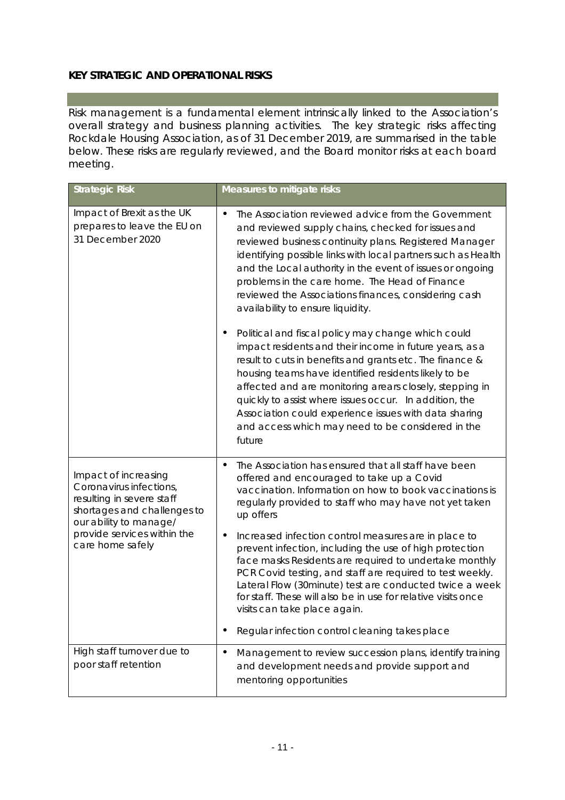# **KEY STRATEGIC AND OPERATIONAL RISKS**

Risk management is a fundamental element intrinsically linked to the Association's overall strategy and business planning activities. The key strategic risks affecting Rockdale Housing Association, as of 31 December 2019, are summarised in the table below. These risks are regularly reviewed, and the Board monitor risks at each board meeting.

| <b>Strategic Risk</b>                                                                                                                                                                    | Measures to mitigate risks                                                                                                                                                                                                                                                                                                                                                                                                                                                                                                                                                                                                                                                                                                                                                                                                                                                                                                         |
|------------------------------------------------------------------------------------------------------------------------------------------------------------------------------------------|------------------------------------------------------------------------------------------------------------------------------------------------------------------------------------------------------------------------------------------------------------------------------------------------------------------------------------------------------------------------------------------------------------------------------------------------------------------------------------------------------------------------------------------------------------------------------------------------------------------------------------------------------------------------------------------------------------------------------------------------------------------------------------------------------------------------------------------------------------------------------------------------------------------------------------|
| Impact of Brexit as the UK<br>prepares to leave the EU on<br>31 December 2020                                                                                                            | The Association reviewed advice from the Government<br>and reviewed supply chains, checked for issues and<br>reviewed business continuity plans. Registered Manager<br>identifying possible links with local partners such as Health<br>and the Local authority in the event of issues or ongoing<br>problems in the care home. The Head of Finance<br>reviewed the Associations finances, considering cash<br>availability to ensure liquidity.<br>Political and fiscal policy may change which could<br>impact residents and their income in future years, as a<br>result to cuts in benefits and grants etc. The finance &<br>housing teams have identified residents likely to be<br>affected and are monitoring arears closely, stepping in<br>quickly to assist where issues occur. In addition, the<br>Association could experience issues with data sharing<br>and access which may need to be considered in the<br>future |
| Impact of increasing<br>Coronavirus infections,<br>resulting in severe staff<br>shortages and challenges to<br>our ability to manage/<br>provide services within the<br>care home safely | The Association has ensured that all staff have been<br>offered and encouraged to take up a Covid<br>vaccination. Information on how to book vaccinations is<br>regularly provided to staff who may have not yet taken<br>up offers<br>Increased infection control measures are in place to<br>$\blacksquare$<br>prevent infection, including the use of high protection<br>face masks Residents are required to undertake monthly<br>PCR Covid testing, and staff are required to test weekly.<br>Lateral Flow (30minute) test are conducted twice a week<br>for staff. These will also be in use for relative visits once<br>visits can take place again.<br>Regular infection control cleaning takes place<br>$\blacksquare$                                                                                                                                                                                                    |
| High staff turnover due to<br>poor staff retention                                                                                                                                       | Management to review succession plans, identify training<br>$\blacksquare$<br>and development needs and provide support and<br>mentoring opportunities                                                                                                                                                                                                                                                                                                                                                                                                                                                                                                                                                                                                                                                                                                                                                                             |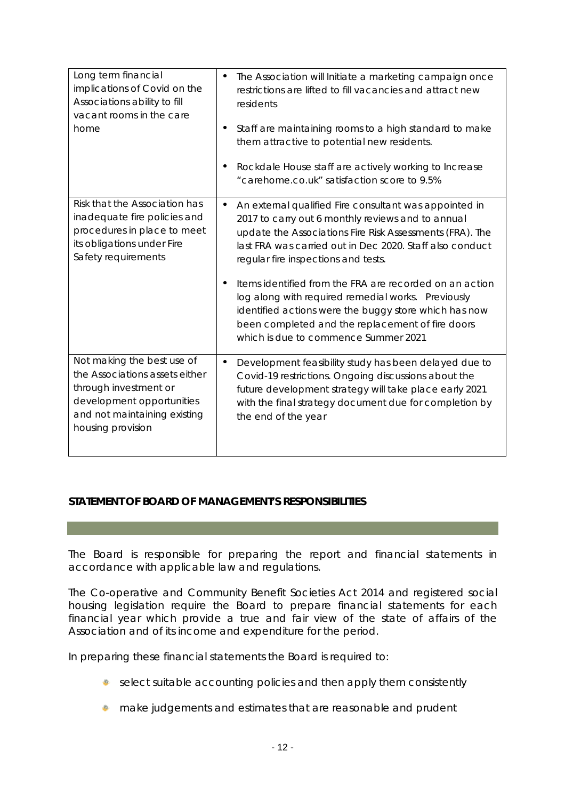| Long term financial<br>implications of Covid on the<br>Associations ability to fill<br>vacant rooms in the care<br>home                                                 | The Association will Initiate a marketing campaign once<br>$\blacksquare$<br>restrictions are lifted to fill vacancies and attract new<br>residents<br>Staff are maintaining rooms to a high standard to make<br>$\blacksquare$<br>them attractive to potential new residents.<br>Rockdale House staff are actively working to Increase<br>$\blacksquare$<br>"carehome.co.uk" satisfaction score to 9.5%                                                                                                                                                                             |
|-------------------------------------------------------------------------------------------------------------------------------------------------------------------------|--------------------------------------------------------------------------------------------------------------------------------------------------------------------------------------------------------------------------------------------------------------------------------------------------------------------------------------------------------------------------------------------------------------------------------------------------------------------------------------------------------------------------------------------------------------------------------------|
| Risk that the Association has<br>inadequate fire policies and<br>procedures in place to meet<br>its obligations under Fire<br>Safety requirements                       | An external qualified Fire consultant was appointed in<br>$\blacksquare$<br>2017 to carry out 6 monthly reviews and to annual<br>update the Associations Fire Risk Assessments (FRA). The<br>last FRA was carried out in Dec 2020. Staff also conduct<br>regular fire inspections and tests.<br>Items identified from the FRA are recorded on an action<br>$\blacksquare$<br>log along with required remedial works. Previously<br>identified actions were the buggy store which has now<br>been completed and the replacement of fire doors<br>which is due to commence Summer 2021 |
| Not making the best use of<br>the Associations assets either<br>through investment or<br>development opportunities<br>and not maintaining existing<br>housing provision | Development feasibility study has been delayed due to<br>$\blacksquare$<br>Covid-19 restrictions. Ongoing discussions about the<br>future development strategy will take place early 2021<br>with the final strategy document due for completion by<br>the end of the year                                                                                                                                                                                                                                                                                                           |

## **STATEMENT OF BOARD OF MANAGEMENT'S RESPONSIBILITIES**

The Board is responsible for preparing the report and financial statements in accordance with applicable law and regulations.

The Co-operative and Community Benefit Societies Act 2014 and registered social housing legislation require the Board to prepare financial statements for each financial year which provide a true and fair view of the state of affairs of the Association and of its income and expenditure for the period.

In preparing these financial statements the Board is required to:

- select suitable accounting policies and then apply them consistently
- $\bullet$  make judgements and estimates that are reasonable and prudent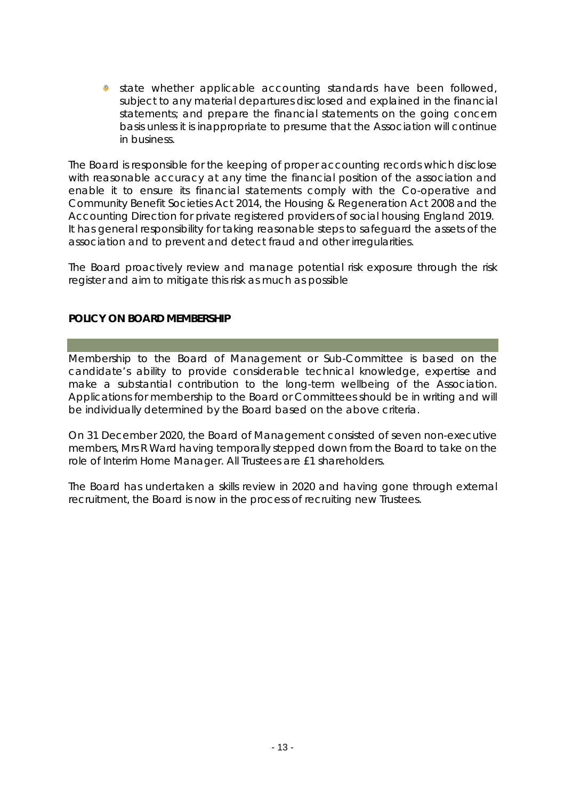state whether applicable accounting standards have been followed, subject to any material departures disclosed and explained in the financial statements; and prepare the financial statements on the going concern basis unless it is inappropriate to presume that the Association will continue in business.

The Board is responsible for the keeping of proper accounting records which disclose with reasonable accuracy at any time the financial position of the association and enable it to ensure its financial statements comply with the Co-operative and Community Benefit Societies Act 2014, the Housing & Regeneration Act 2008 and the Accounting Direction for private registered providers of social housing England 2019. It has general responsibility for taking reasonable steps to safeguard the assets of the association and to prevent and detect fraud and other irregularities.

The Board proactively review and manage potential risk exposure through the risk register and aim to mitigate this risk as much as possible

#### **POLICY ON BOARD MEMBERSHIP**

Membership to the Board of Management or Sub-Committee is based on the candidate's ability to provide considerable technical knowledge, expertise and make a substantial contribution to the long-term wellbeing of the Association. Applications for membership to the Board or Committees should be in writing and will be individually determined by the Board based on the above criteria.

On 31 December 2020, the Board of Management consisted of seven non-executive members, Mrs R Ward having temporally stepped down from the Board to take on the role of Interim Home Manager. All Trustees are £1 shareholders.

The Board has undertaken a skills review in 2020 and having gone through external recruitment, the Board is now in the process of recruiting new Trustees.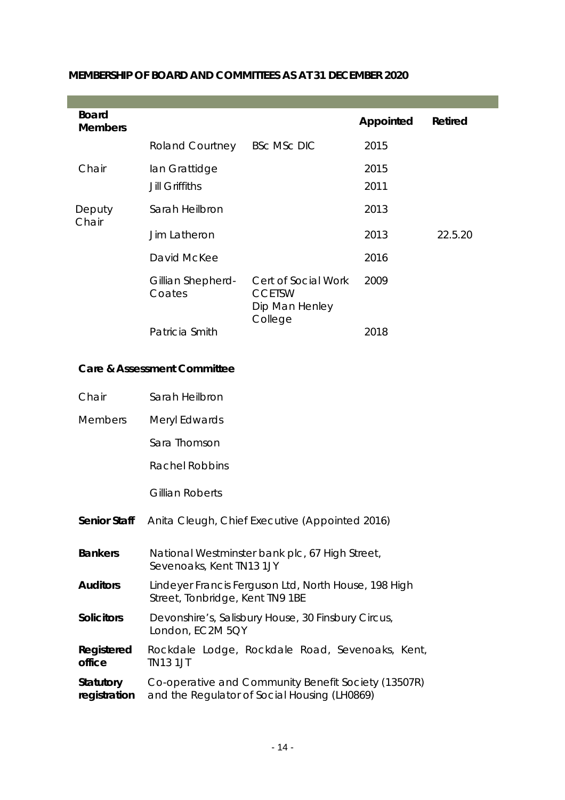| <b>Board</b><br><b>Members</b> |                             |                                                                   | Appointed | Retired |
|--------------------------------|-----------------------------|-------------------------------------------------------------------|-----------|---------|
|                                | <b>Roland Courtney</b>      | <b>BSC MSC DIC</b>                                                | 2015      |         |
| Chair                          | lan Grattidge               |                                                                   | 2015      |         |
|                                | <b>Jill Griffiths</b>       |                                                                   | 2011      |         |
| Deputy<br>Chair                | Sarah Heilbron              |                                                                   | 2013      |         |
|                                | Jim Latheron                |                                                                   | 2013      | 22.5.20 |
|                                | David McKee                 |                                                                   | 2016      |         |
|                                | Gillian Shepherd-<br>Coates | Cert of Social Work<br><b>CCETSW</b><br>Dip Man Henley<br>College | 2009      |         |
|                                | Patricia Smith              |                                                                   | 2018      |         |

# **MEMBERSHIP OF BOARD AND COMMITTEES AS AT 31 DECEMBER 2020**

#### **Care & Assessment Committee**

| Chair                     | Sarah Heilbron                                                                                      |
|---------------------------|-----------------------------------------------------------------------------------------------------|
| <b>Members</b>            | Meryl Edwards                                                                                       |
|                           | Sara Thomson                                                                                        |
|                           | <b>Rachel Robbins</b>                                                                               |
|                           | Gillian Roberts                                                                                     |
| Senior Staff              | Anita Cleugh, Chief Executive (Appointed 2016)                                                      |
| <b>Bankers</b>            | National Westminster bank plc, 67 High Street,<br>Sevenoaks, Kent TN13 1JY                          |
| <b>Auditors</b>           | Lindeyer Francis Ferguson Ltd, North House, 198 High<br>Street, Tonbridge, Kent TN9 1BE             |
| <b>Solicitors</b>         | Devonshire's, Salisbury House, 30 Finsbury Circus,<br>London, EC2M 5QY                              |
| Registered<br>office      | Rockdale Lodge, Rockdale Road, Sevenoaks, Kent,<br><b>TN13 1JT</b>                                  |
| Statutory<br>registration | Co-operative and Community Benefit Society (13507R)<br>and the Regulator of Social Housing (LH0869) |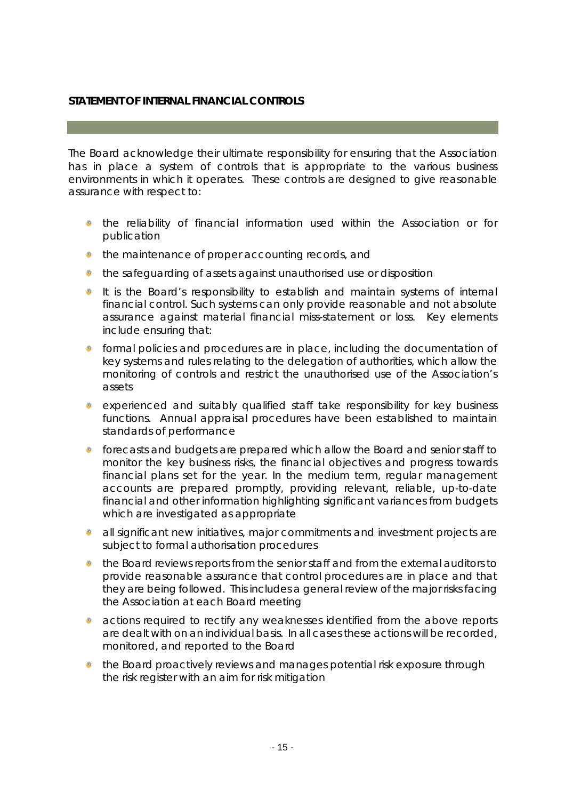# **STATEMENT OF INTERNAL FINANCIAL CONTROLS**

The Board acknowledge their ultimate responsibility for ensuring that the Association has in place a system of controls that is appropriate to the various business environments in which it operates. These controls are designed to give reasonable assurance with respect to:

- the reliability of financial information used within the Association or for publication
- $\bullet$  the maintenance of proper accounting records, and
- the safeguarding of assets against unauthorised use or disposition
- It is the Board's responsibility to establish and maintain systems of internal financial control. Such systems can only provide reasonable and not absolute assurance against material financial miss-statement or loss. Key elements include ensuring that:
- 卷 formal policies and procedures are in place, including the documentation of key systems and rules relating to the delegation of authorities, which allow the monitoring of controls and restrict the unauthorised use of the Association's assets
- experienced and suitably qualified staff take responsibility for key business functions. Annual appraisal procedures have been established to maintain standards of performance
- dite. forecasts and budgets are prepared which allow the Board and senior staff to monitor the key business risks, the financial objectives and progress towards financial plans set for the year. In the medium term, regular management accounts are prepared promptly, providing relevant, reliable, up-to-date financial and other information highlighting significant variances from budgets which are investigated as appropriate
- all significant new initiatives, major commitments and investment projects are  $\frac{1}{2}$ subject to formal authorisation procedures
- the Board reviews reports from the senior staff and from the external auditors to dite. provide reasonable assurance that control procedures are in place and that they are being followed. This includes a general review of the major risks facing the Association at each Board meeting
- di. actions required to rectify any weaknesses identified from the above reports are dealt with on an individual basis. In all cases these actions will be recorded, monitored, and reported to the Board
- $\bullet$  the Board proactively reviews and manages potential risk exposure through the risk register with an aim for risk mitigation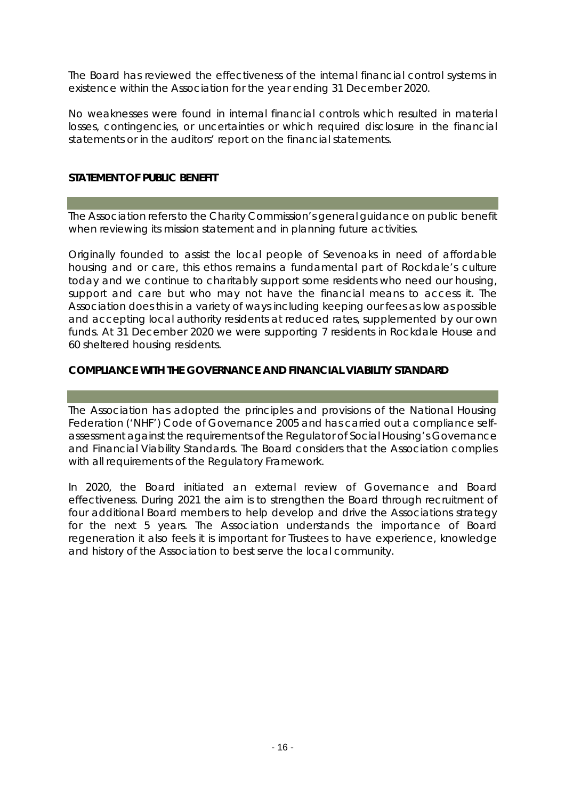The Board has reviewed the effectiveness of the internal financial control systems in existence within the Association for the year ending 31 December 2020.

No weaknesses were found in internal financial controls which resulted in material losses, contingencies, or uncertainties or which required disclosure in the financial statements or in the auditors' report on the financial statements.

#### **STATEMENT OF PUBLIC BENEFIT**

The Association refers to the Charity Commission's general guidance on public benefit when reviewing its mission statement and in planning future activities.

Originally founded to assist the local people of Sevenoaks in need of affordable housing and or care, this ethos remains a fundamental part of Rockdale's culture today and we continue to charitably support some residents who need our housing, support and care but who may not have the financial means to access it. The Association does this in a variety of ways including keeping our fees as low as possible and accepting local authority residents at reduced rates, supplemented by our own funds. At 31 December 2020 we were supporting 7 residents in Rockdale House and 60 sheltered housing residents.

## **COMPLIANCE WITH THE GOVERNANCE AND FINANCIAL VIABILITY STANDARD**

The Association has adopted the principles and provisions of the National Housing Federation ('NHF') Code of Governance 2005 and has carried out a compliance selfassessment against the requirements of the Regulator of Social Housing's Governance and Financial Viability Standards. The Board considers that the Association complies with all requirements of the Regulatory Framework.

In 2020, the Board initiated an external review of Governance and Board effectiveness. During 2021 the aim is to strengthen the Board through recruitment of four additional Board members to help develop and drive the Associations strategy for the next 5 years. The Association understands the importance of Board regeneration it also feels it is important for Trustees to have experience, knowledge and history of the Association to best serve the local community.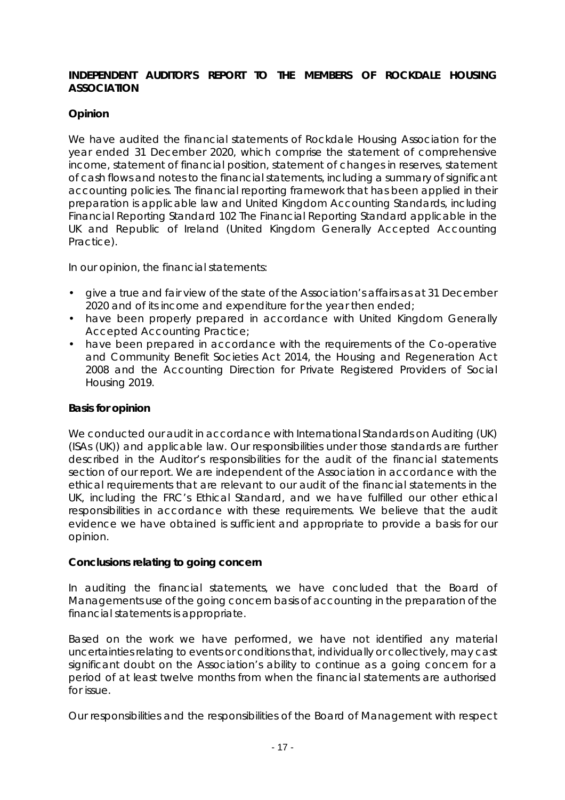#### **INDEPENDENT AUDITOR'S REPORT TO THE MEMBERS OF ROCKDALE HOUSING ASSOCIATION**

## **Opinion**

We have audited the financial statements of Rockdale Housing Association for the year ended 31 December 2020, which comprise the statement of comprehensive income, statement of financial position, statement of changes in reserves, statement of cash flows and notes to the financial statements, including a summary of significant accounting policies. The financial reporting framework that has been applied in their preparation is applicable law and United Kingdom Accounting Standards, including Financial Reporting Standard 102 *The Financial Reporting Standard applicable in the UK and Republic of Ireland* (United Kingdom Generally Accepted Accounting Practice).

In our opinion, the financial statements:

- give a true and fair view of the state of the Association's affairs as at 31 December 2020 and of its income and expenditure for the year then ended;
- have been properly prepared in accordance with United Kingdom Generally Accepted Accounting Practice;
- have been prepared in accordance with the requirements of the Co-operative and Community Benefit Societies Act 2014, the Housing and Regeneration Act 2008 and the Accounting Direction for Private Registered Providers of Social Housing 2019.

#### **Basis for opinion**

We conducted our audit in accordance with International Standards on Auditing (UK) (ISAs (UK)) and applicable law. Our responsibilities under those standards are further described in the Auditor's responsibilities for the audit of the financial statements section of our report. We are independent of the Association in accordance with the ethical requirements that are relevant to our audit of the financial statements in the UK, including the FRC's Ethical Standard, and we have fulfilled our other ethical responsibilities in accordance with these requirements. We believe that the audit evidence we have obtained is sufficient and appropriate to provide a basis for our opinion.

#### **Conclusions relating to going concern**

In auditing the financial statements, we have concluded that the Board of Managements use of the going concern basis of accounting in the preparation of the financial statements is appropriate.

Based on the work we have performed, we have not identified any material uncertainties relating to events or conditions that, individually or collectively, may cast significant doubt on the Association's ability to continue as a going concern for a period of at least twelve months from when the financial statements are authorised for issue.

Our responsibilities and the responsibilities of the Board of Management with respect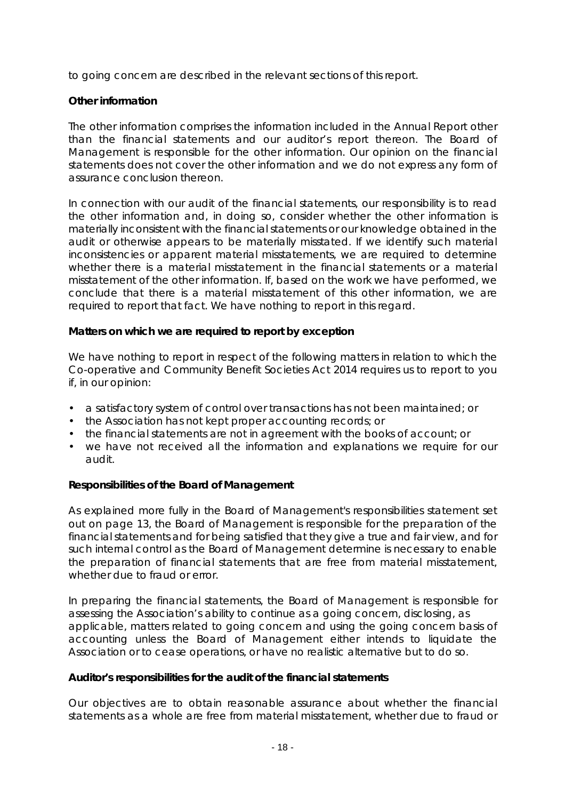to going concern are described in the relevant sections of this report.

#### **Other information**

The other information comprises the information included in the Annual Report other than the financial statements and our auditor's report thereon. The Board of Management is responsible for the other information. Our opinion on the financial statements does not cover the other information and we do not express any form of assurance conclusion thereon.

In connection with our audit of the financial statements, our responsibility is to read the other information and, in doing so, consider whether the other information is materially inconsistent with the financial statements or our knowledge obtained in the audit or otherwise appears to be materially misstated. If we identify such material inconsistencies or apparent material misstatements, we are required to determine whether there is a material misstatement in the financial statements or a material misstatement of the other information. If, based on the work we have performed, we conclude that there is a material misstatement of this other information, we are required to report that fact. We have nothing to report in this regard.

**Matters on which we are required to report by exception** 

We have nothing to report in respect of the following matters in relation to which the Co-operative and Community Benefit Societies Act 2014 requires us to report to you if, in our opinion:

- a satisfactory system of control over transactions has not been maintained; or
- the Association has not kept proper accounting records; or
- the financial statements are not in agreement with the books of account; or
- we have not received all the information and explanations we require for our audit.

**Responsibilities of the Board of Management** 

As explained more fully in the Board of Management's responsibilities statement set out on page 13, the Board of Management is responsible for the preparation of the financial statements and for being satisfied that they give a true and fair view, and for such internal control as the Board of Management determine is necessary to enable the preparation of financial statements that are free from material misstatement, whether due to fraud or error.

In preparing the financial statements, the Board of Management is responsible for assessing the Association's ability to continue as a going concern, disclosing, as applicable, matters related to going concern and using the going concern basis of accounting unless the Board of Management either intends to liquidate the Association or to cease operations, or have no realistic alternative but to do so.

**Auditor's responsibilities for the audit of the financial statements** 

Our objectives are to obtain reasonable assurance about whether the financial statements as a whole are free from material misstatement, whether due to fraud or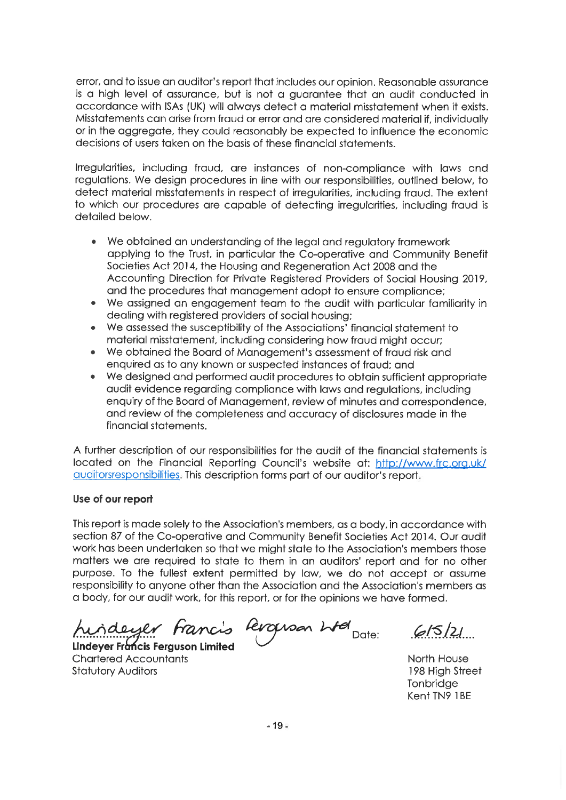error, and to issue an auditor's report that includes our opinion. Reasonable assurance is a high level of assurance, but is not a guarantee that an audit conducted in accordance with ISAs (UK) will always detect a material misstatement when it exists. Misstatements can arise from fraud or error and are considered material if, individually or in the aggregate, they could reasonably be expected to influence the economic decisions of users taken on the basis of these financial statements.

Irregularities, including fraud, are instances of non-compliance with laws and regulations. We design procedures in line with our responsibilities, outlined below, to detect material misstatements in respect of irregularities, including fraud. The extent to which our procedures are capable of detecting irregularities, including fraud is detailed below.

- We obtained an understanding of the legal and regulatory framework applying to the Trust, in particular the Co-operative and Community Benefit Societies Act 2014, the Housing and Regeneration Act 2008 and the Accounting Direction for Private Registered Providers of Social Housing 2019, and the procedures that management adopt to ensure compliance;
- We assigned an engagement team to the audit with particular familiarity in dealing with registered providers of social housing;
- We assessed the susceptibility of the Associations' financial statement to material misstatement, including considering how fraud might occur;
- We obtained the Board of Management's assessment of fraud risk and enquired as to any known or suspected instances of fraud; and
- We designed and performed audit procedures to obtain sufficient appropriate audit evidence regarding compliance with laws and regulations, including enquiry of the Board of Management, review of minutes and correspondence, and review of the completeness and accuracy of disclosures made in the financial statements.

A further description of our responsibilities for the audit of the financial statements is located on the Financial Reporting Council's website at: http://www.frc.org.uk/ auditorsresponsibilities. This description forms part of our auditor's report.

#### Use of our report

This report is made solely to the Association's members, as a body, in accordance with section 87 of the Co-operative and Community Benefit Societies Act 2014. Our audit work has been undertaken so that we might state to the Association's members those matters we are required to state to them in an auditors' report and for no other purpose. To the fullest extent permitted by law, we do not accept or assume responsibility to anyone other than the Association and the Association's members as a body, for our audit work, for this report, or for the opinions we have formed.

hirdeyer francis Revolven when Date:

Lindeyer Francis Ferguson Limited **Chartered Accountants Statutory Auditors** 

615/21

North House 198 High Street Tonbridge Kent TN9 1BE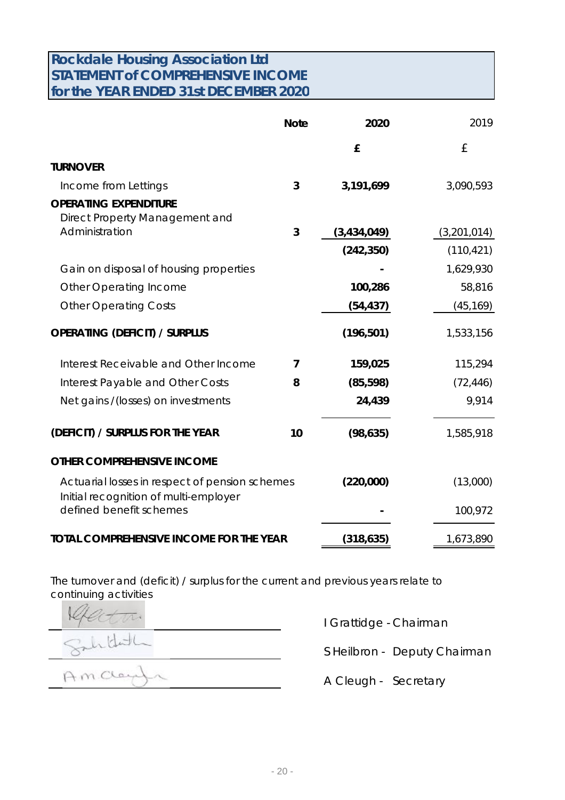# **Rockdale Housing Association Ltd STATEMENT of COMPREHENSIVE INCOME for the YEAR ENDED 31st DECEMBER 2020**

|                                                                                         | <b>Note</b>    | 2020        | 2019        |
|-----------------------------------------------------------------------------------------|----------------|-------------|-------------|
|                                                                                         |                | £           | £           |
| <b>TURNOVER</b>                                                                         |                |             |             |
| Income from Lettings                                                                    | 3              | 3,191,699   | 3,090,593   |
| <b>OPERATING EXPENDITURE</b><br>Direct Property Management and                          |                |             |             |
| Administration                                                                          | 3              | (3,434,049) | (3,201,014) |
|                                                                                         |                | (242, 350)  | (110, 421)  |
| Gain on disposal of housing properties                                                  |                |             | 1,629,930   |
| <b>Other Operating Income</b>                                                           |                | 100,286     | 58,816      |
| <b>Other Operating Costs</b>                                                            |                | (54, 437)   | (45, 169)   |
| <b>OPERATING (DEFICIT) / SURPLUS</b>                                                    |                | (196, 501)  | 1,533,156   |
| Interest Receivable and Other Income                                                    | $\overline{7}$ | 159,025     | 115,294     |
| Interest Payable and Other Costs                                                        | 8              | (85, 598)   | (72, 446)   |
| Net gains / (losses) on investments                                                     |                | 24,439      | 9,914       |
| (DEFICIT) / SURPLUS FOR THE YEAR                                                        | 10             | (98, 635)   | 1,585,918   |
| OTHER COMPREHENSIVE INCOME                                                              |                |             |             |
| Actuarial losses in respect of pension schemes<br>Initial recognition of multi-employer |                | (220,000)   | (13,000)    |
| defined benefit schemes                                                                 |                |             | 100,972     |
| TOTAL COMPREHENSIVE INCOME FOR THE YEAR                                                 |                | (318, 635)  | 1,673,890   |

The turnover and (deficit) / surplus for the current and previous years relate to continuing activities

iddh

Amcley  $\sim$ 

I Grattidge - Chairman

S Heilbron - Deputy Chairman

A Cleugh - Secretary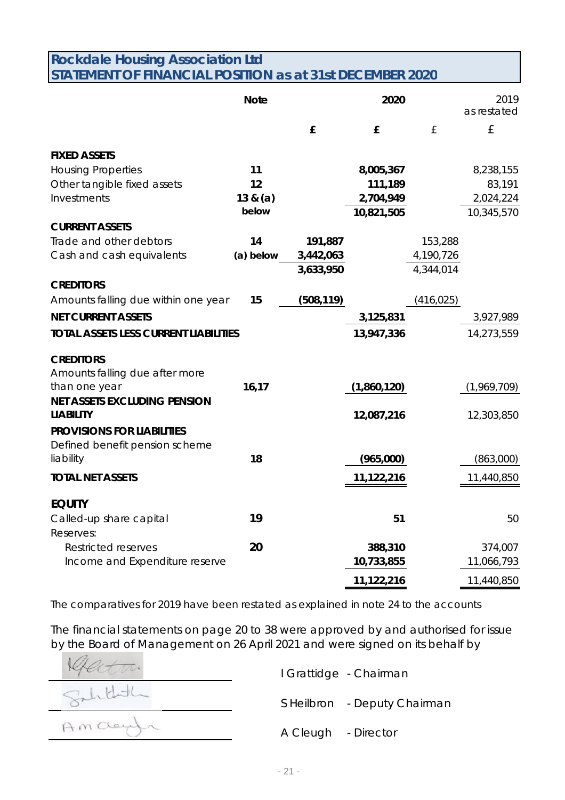# **Rockdale Housing Association Ltd STATEMENT OF FINANCIAL POSITION as at 31st DECEMBER 2020**

|                                                         | <b>Note</b>       |            | 2020                    |            | 2019<br>as restated     |
|---------------------------------------------------------|-------------------|------------|-------------------------|------------|-------------------------|
|                                                         |                   | £          | £                       | £          | £                       |
| <b>FIXED ASSETS</b>                                     |                   |            |                         |            |                         |
| <b>Housing Properties</b>                               | 11                |            | 8,005,367               |            | 8,238,155               |
| Other tangible fixed assets                             | 12                |            | 111,189                 |            | 83,191                  |
| Investments                                             | 13 & (a)<br>below |            | 2,704,949<br>10,821,505 |            | 2,024,224<br>10,345,570 |
| <b>CURRENT ASSETS</b>                                   |                   |            |                         |            |                         |
| Trade and other debtors                                 | 14                | 191,887    |                         | 153,288    |                         |
| Cash and cash equivalents                               | (a) below         | 3,442,063  |                         | 4,190,726  |                         |
|                                                         |                   | 3,633,950  |                         | 4,344,014  |                         |
| <b>CREDITORS</b>                                        |                   |            |                         |            |                         |
| Amounts falling due within one year                     | 15                | (508, 119) |                         | (416, 025) |                         |
| <b>NET CURRENT ASSETS</b>                               |                   |            | 3,125,831               |            | 3,927,989               |
| <b>TOTAL ASSETS LESS CURRENT LIABILITIES</b>            |                   |            | 13,947,336              |            | 14,273,559              |
| <b>CREDITORS</b>                                        |                   |            |                         |            |                         |
| Amounts falling due after more                          |                   |            |                         |            |                         |
| than one year                                           | 16,17             |            | (1,860,120)             |            | (1,969,709)             |
| <b>NET ASSETS EXCLUDING PENSION</b><br><b>LIABILITY</b> |                   |            | 12,087,216              |            | 12,303,850              |
| <b>PROVISIONS FOR LIABILITIES</b>                       |                   |            |                         |            |                         |
| Defined benefit pension scheme                          |                   |            |                         |            |                         |
| liability                                               | 18                |            | (965,000)               |            | (863,000)               |
| <b>TOTAL NET ASSETS</b>                                 |                   |            | 11,122,216              |            | 11,440,850              |
| <b>EQUITY</b>                                           |                   |            |                         |            |                         |
| Called-up share capital                                 | 19                |            | 51                      |            | 50                      |
| Reserves:                                               |                   |            |                         |            |                         |
| <b>Restricted reserves</b>                              | 20                |            | 388,310                 |            | 374,007                 |
| Income and Expenditure reserve                          |                   |            | 10,733,855              |            | 11,066,793              |
|                                                         |                   |            | 11,122,216              |            | 11,440,850              |

The comparatives for 2019 have been restated as explained in note 24 to the accounts

The financial statements on page 20 to 38 were approved by and authorised for issue by the Board of Management on 26 April 2021 and were signed on its behalf by

I Grattidge - Chairman Salithdh S Heilbron - Deputy Chairman AMCCay A Cleugh - Director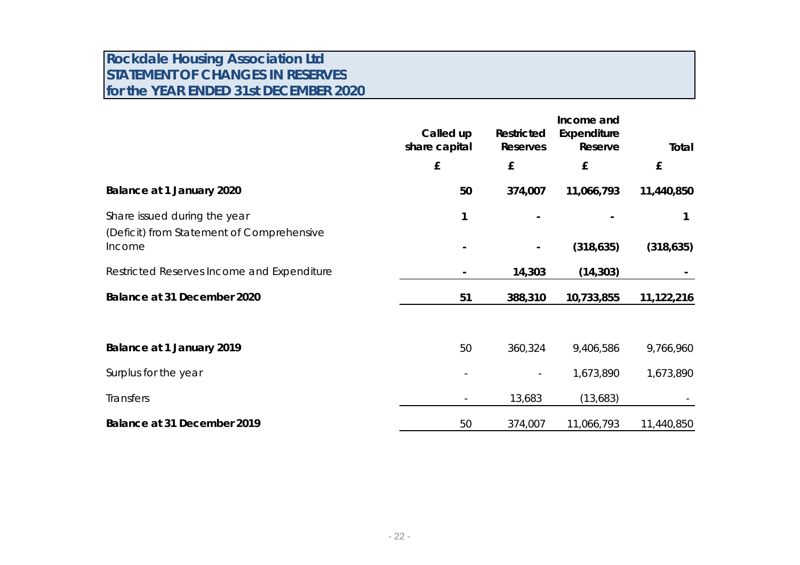# **Rockdale Housing Association Ltd STATEMENT OF CHANGES IN RESERVES for the YEAR ENDED 31st DECEMBER 2020**

|                                                     | Called up<br>share capital | Restricted<br>Reserves | Income and<br>Expenditure<br>Reserve | Total      |
|-----------------------------------------------------|----------------------------|------------------------|--------------------------------------|------------|
|                                                     | £                          | £                      | £                                    | £          |
| Balance at 1 January 2020                           | 50                         | 374,007                | 11,066,793                           | 11,440,850 |
| Share issued during the year                        | 1                          |                        |                                      |            |
| (Deficit) from Statement of Comprehensive<br>Income |                            |                        | (318, 635)                           | (318, 635) |
| Restricted Reserves Income and Expenditure          |                            | 14,303                 | (14, 303)                            |            |
| Balance at 31 December 2020                         | 51                         | 388,310                | 10,733,855                           | 11,122,216 |
|                                                     |                            |                        |                                      |            |
| Balance at 1 January 2019                           | 50                         | 360,324                | 9,406,586                            | 9,766,960  |
| Surplus for the year                                |                            |                        | 1,673,890                            | 1,673,890  |
| <b>Transfers</b>                                    |                            | 13,683                 | (13,683)                             |            |
| Balance at 31 December 2019                         | 50                         | 374,007                | 11,066,793                           | 11,440,850 |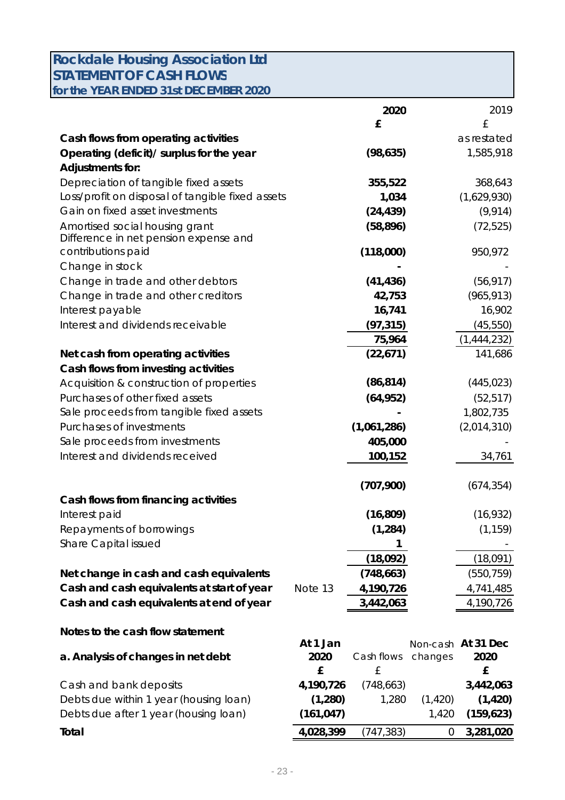| <b>Rockdale Housing Association Ltd</b>          |            |             |          |                    |
|--------------------------------------------------|------------|-------------|----------|--------------------|
| <b>STATEMENT OF CASH FLOWS</b>                   |            |             |          |                    |
| for the YEAR ENDED 31st DECEMBER 2020            |            |             |          |                    |
|                                                  |            | 2020        |          | 2019               |
|                                                  |            | £           |          | £                  |
| Cash flows from operating activities             |            |             |          | as restated        |
| Operating (deficit)/ surplus for the year        |            | (98, 635)   |          | 1,585,918          |
| Adjustments for:                                 |            |             |          |                    |
| Depreciation of tangible fixed assets            |            | 355,522     |          | 368,643            |
| Loss/profit on disposal of tangible fixed assets |            | 1,034       |          | (1,629,930)        |
| Gain on fixed asset investments                  |            | (24, 439)   |          | (9, 914)           |
| Amortised social housing grant                   |            | (58, 896)   |          | (72, 525)          |
| Difference in net pension expense and            |            |             |          |                    |
| contributions paid                               |            | (118,000)   |          | 950,972            |
| Change in stock                                  |            |             |          |                    |
| Change in trade and other debtors                |            | (41, 436)   |          | (56, 917)          |
| Change in trade and other creditors              |            | 42,753      |          | (965, 913)         |
| Interest payable                                 |            | 16,741      |          | 16,902             |
| Interest and dividends receivable                |            | (97, 315)   |          | (45, 550)          |
|                                                  |            | 75,964      |          | (1,444,232)        |
| Net cash from operating activities               |            | (22,671)    |          | 141,686            |
| Cash flows from investing activities             |            |             |          |                    |
| Acquisition & construction of properties         |            | (86, 814)   |          | (445, 023)         |
| Purchases of other fixed assets                  |            | (64, 952)   |          | (52, 517)          |
| Sale proceeds from tangible fixed assets         |            |             |          | 1,802,735          |
| <b>Purchases of investments</b>                  |            | (1,061,286) |          | (2,014,310)        |
| Sale proceeds from investments                   |            | 405,000     |          |                    |
| Interest and dividends received                  |            | 100,152     |          | 34,761             |
|                                                  |            |             |          |                    |
|                                                  |            | (707,900)   |          | (674, 354)         |
| Cash flows from financing activities             |            |             |          |                    |
| Interest paid                                    |            | (16, 809)   |          | (16, 932)          |
| Repayments of borrowings                         |            | (1, 284)    |          | (1, 159)           |
| Share Capital issued                             |            |             |          |                    |
|                                                  |            | (18,092)    |          | (18,091)           |
| Net change in cash and cash equivalents          |            | (748, 663)  |          | (550, 759)         |
| Cash and cash equivalents at start of year       | Note 13    | 4,190,726   |          | 4,741,485          |
| Cash and cash equivalents at end of year         |            | 3,442,063   |          | 4,190,726          |
| Notes to the cash flow statement                 |            |             |          |                    |
|                                                  | At 1 Jan   |             |          | Non-cash At 31 Dec |
| a. Analysis of changes in net debt               | 2020       | Cash flows  | changes  | 2020               |
|                                                  | £          | £           |          | £                  |
| Cash and bank deposits                           | 4,190,726  | (748, 663)  |          | 3,442,063          |
| Debts due within 1 year (housing loan)           | (1,280)    | 1,280       | (1, 420) | (1, 420)           |
| Debts due after 1 year (housing loan)            | (161, 047) |             | 1,420    | (159, 623)         |
| Total                                            | 4,028,399  | (747, 383)  | 0        | 3,281,020          |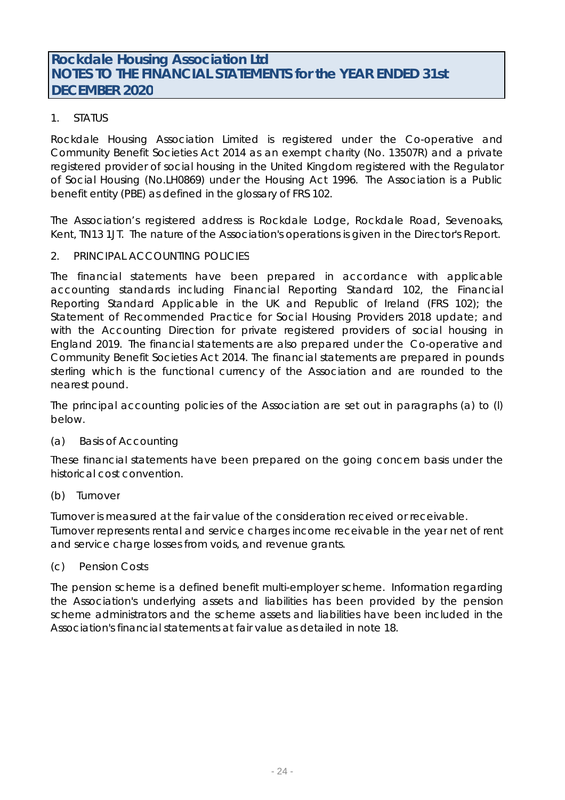# 1. STATUS

Rockdale Housing Association Limited is registered under the Co-operative and Community Benefit Societies Act 2014 as an exempt charity (No. 13507R) and a private registered provider of social housing in the United Kingdom registered with the Regulator of Social Housing (No.LH0869) under the Housing Act 1996. The Association is a Public benefit entity (PBE) as defined in the glossary of FRS 102.

The Association's registered address is Rockdale Lodge, Rockdale Road, Sevenoaks, Kent, TN13 1JT. The nature of the Association's operations is given in the Director's Report.

## 2. PRINCIPAL ACCOUNTING POLICIES

The financial statements have been prepared in accordance with applicable accounting standards including Financial Reporting Standard 102, the Financial Reporting Standard Applicable in the UK and Republic of Ireland (FRS 102); the Statement of Recommended Practice for Social Housing Providers 2018 update; and with the Accounting Direction for private registered providers of social housing in England 2019. The financial statements are also prepared under the Co-operative and Community Benefit Societies Act 2014. The financial statements are prepared in pounds sterling which is the functional currency of the Association and are rounded to the nearest pound.

The principal accounting policies of the Association are set out in paragraphs (a) to (l) below.

## (a) Basis of Accounting

These financial statements have been prepared on the going concern basis under the historical cost convention.

#### (b) Turnover

Turnover is measured at the fair value of the consideration received or receivable. Turnover represents rental and service charges income receivable in the year net of rent and service charge losses from voids, and revenue grants.

## (c) Pension Costs

The pension scheme is a defined benefit multi-employer scheme. Information regarding the Association's underlying assets and liabilities has been provided by the pension scheme administrators and the scheme assets and liabilities have been included in the Association's financial statements at fair value as detailed in note 18.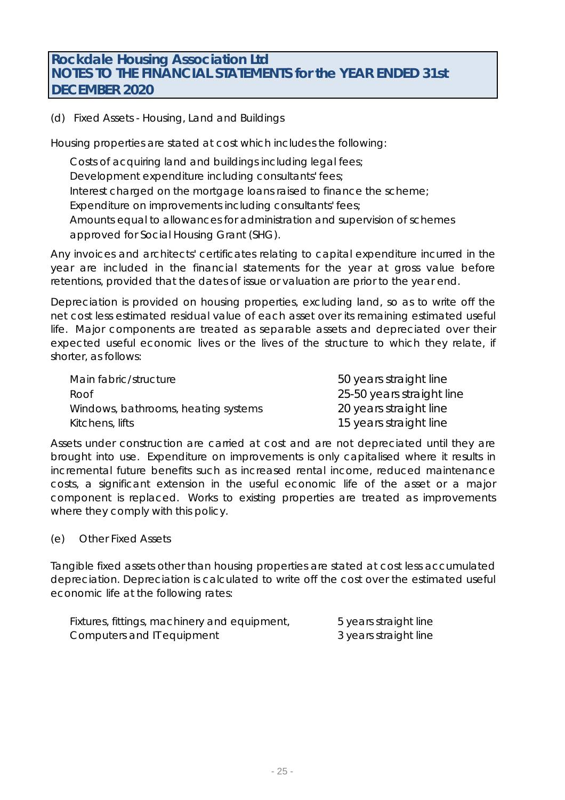# (d) Fixed Assets - Housing, Land and Buildings

Housing properties are stated at cost which includes the following:

Costs of acquiring land and buildings including legal fees; Development expenditure including consultants' fees; Interest charged on the mortgage loans raised to finance the scheme; Expenditure on improvements including consultants' fees; Amounts equal to allowances for administration and supervision of schemes approved for Social Housing Grant (SHG).

Any invoices and architects' certificates relating to capital expenditure incurred in the year are included in the financial statements for the year at gross value before retentions, provided that the dates of issue or valuation are prior to the year end.

Depreciation is provided on housing properties, excluding land, so as to write off the net cost less estimated residual value of each asset over its remaining estimated useful life. Major components are treated as separable assets and depreciated over their expected useful economic lives or the lives of the structure to which they relate, if shorter, as follows:

| Main fabric/structure               | 50 years straight line    |
|-------------------------------------|---------------------------|
| Roof                                | 25-50 years straight line |
| Windows, bathrooms, heating systems | 20 years straight line    |
| Kitchens, lifts                     | 15 years straight line    |

Assets under construction are carried at cost and are not depreciated until they are brought into use. Expenditure on improvements is only capitalised where it results in incremental future benefits such as increased rental income, reduced maintenance costs, a significant extension in the useful economic life of the asset or a major component is replaced. Works to existing properties are treated as improvements where they comply with this policy.

(e) Other Fixed Assets

Tangible fixed assets other than housing properties are stated at cost less accumulated depreciation. Depreciation is calculated to write off the cost over the estimated useful economic life at the following rates:

| Fixtures, fittings, machinery and equipment, | 5 years straight line |
|----------------------------------------------|-----------------------|
| Computers and IT equipment                   | 3 years straight line |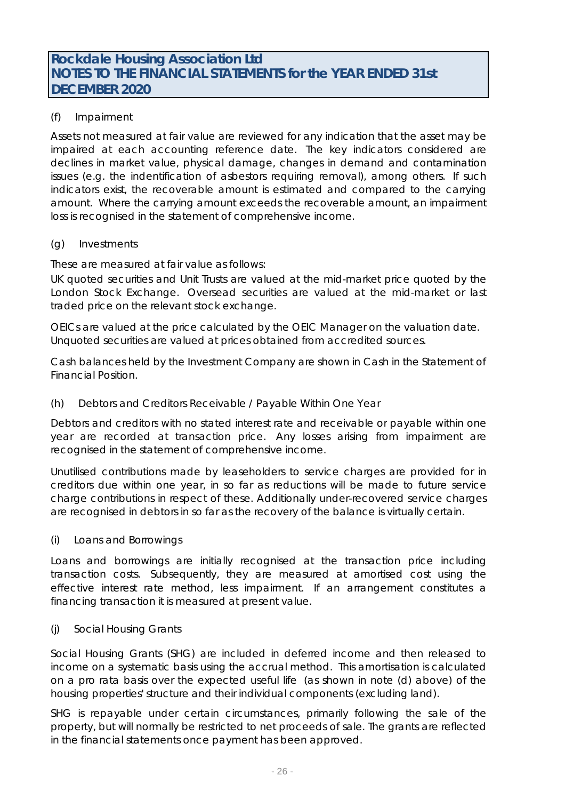# (f) Impairment

Assets not measured at fair value are reviewed for any indication that the asset may be impaired at each accounting reference date. The key indicators considered are declines in market value, physical damage, changes in demand and contamination issues (e.g. the indentification of asbestors requiring removal), among others. If such indicators exist, the recoverable amount is estimated and compared to the carrying amount. Where the carrying amount exceeds the recoverable amount, an impairment loss is recognised in the statement of comprehensive income.

#### (g) Investments

These are measured at fair value as follows:

UK quoted securities and Unit Trusts are valued at the mid-market price quoted by the London Stock Exchange. Oversead securities are valued at the mid-market or last traded price on the relevant stock exchange.

OEICs are valued at the price calculated by the OEIC Manager on the valuation date. Unquoted securities are valued at prices obtained from accredited sources.

Cash balances held by the Investment Company are shown in Cash in the Statement of Financial Position.

#### (h) Debtors and Creditors Receivable / Payable Within One Year

Debtors and creditors with no stated interest rate and receivable or payable within one year are recorded at transaction price. Any losses arising from impairment are recognised in the statement of comprehensive income.

Unutilised contributions made by leaseholders to service charges are provided for in creditors due within one year, in so far as reductions will be made to future service charge contributions in respect of these. Additionally under-recovered service charges are recognised in debtors in so far as the recovery of the balance is virtually certain.

#### (i) Loans and Borrowings

Loans and borrowings are initially recognised at the transaction price including transaction costs. Subsequently, they are measured at amortised cost using the effective interest rate method, less impairment. If an arrangement constitutes a financing transaction it is measured at present value.

#### (j) Social Housing Grants

Social Housing Grants (SHG) are included in deferred income and then released to income on a systematic basis using the accrual method. This amortisation is calculated on a pro rata basis over the expected useful life (as shown in note (d) above) of the housing properties' structure and their individual components (excluding land).

SHG is repayable under certain circumstances, primarily following the sale of the property, but will normally be restricted to net proceeds of sale. The grants are reflected in the financial statements once payment has been approved.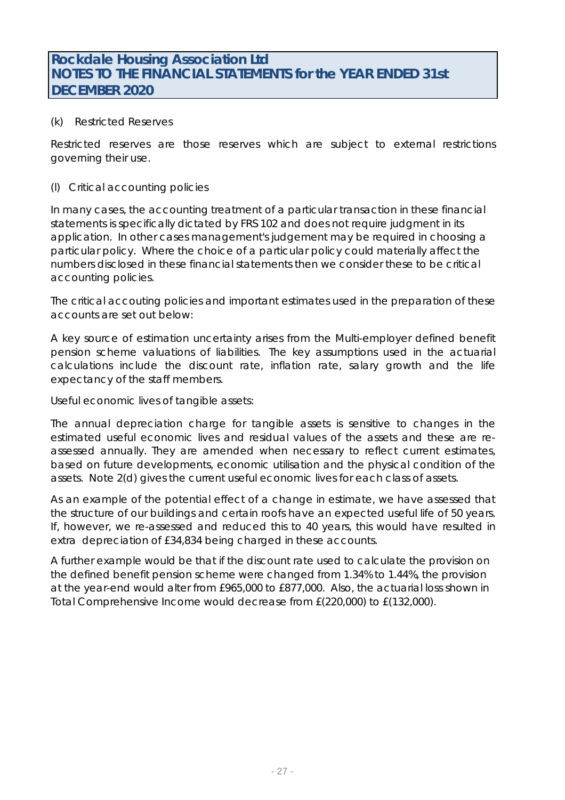### (k) Restricted Reserves

Restricted reserves are those reserves which are subject to external restrictions governing their use.

#### (l) Critical accounting policies

In many cases, the accounting treatment of a particular transaction in these financial statements is specifically dictated by FRS 102 and does not require judgment in its application. In other cases management's judgement may be required in choosing a particular policy. Where the choice of a particular policy could materially affect the numbers disclosed in these financial statements then we consider these to be critical accounting policies.

The critical accouting policies and important estimates used in the preparation of these accounts are set out below:

A key source of estimation uncertainty arises from the Multi-employer defined benefit pension scheme valuations of liabilities. The key assumptions used in the actuarial calculations include the discount rate, inflation rate, salary growth and the life expectancy of the staff members.

Useful economic lives of tangible assets:

The annual depreciation charge for tangible assets is sensitive to changes in the estimated useful economic lives and residual values of the assets and these are reassessed annually. They are amended when necessary to reflect current estimates, based on future developments, economic utilisation and the physical condition of the assets. Note 2(d) gives the current useful economic lives for each class of assets.

As an example of the potential effect of a change in estimate, we have assessed that the structure of our buildings and certain roofs have an expected useful life of 50 years. If, however, we re-assessed and reduced this to 40 years, this would have resulted in extra depreciation of £34,834 being charged in these accounts.

A further example would be that if the discount rate used to calculate the provision on the defined benefit pension scheme were changed from 1.34% to 1.44%, the provision at the year-end would alter from £965,000 to £877,000. Also, the actuarial loss shown in Total Comprehensive Income would decrease from £(220,000) to £(132,000).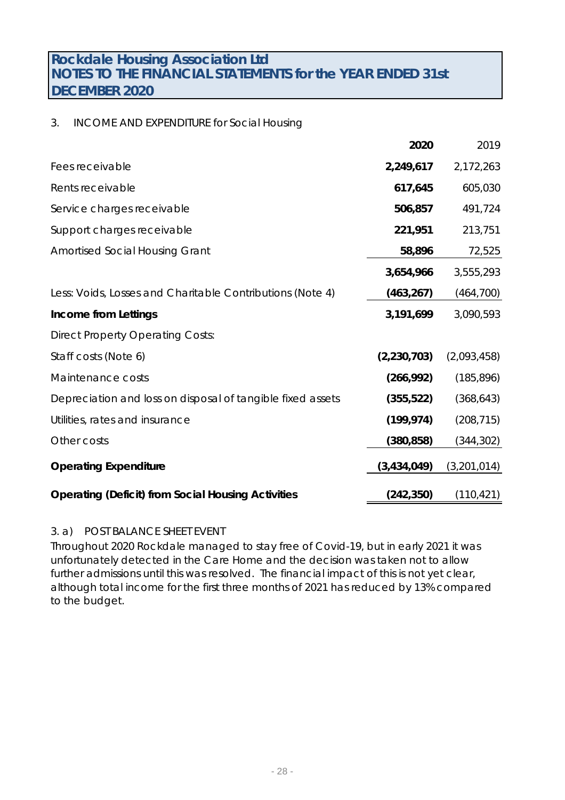# 3. INCOME AND EXPENDITURE for Social Housing

|                                                            | 2020          | 2019        |
|------------------------------------------------------------|---------------|-------------|
| Fees receivable                                            | 2,249,617     | 2,172,263   |
| Rents receivable                                           | 617,645       | 605,030     |
| Service charges receivable                                 | 506,857       | 491,724     |
| Support charges receivable                                 | 221,951       | 213,751     |
| <b>Amortised Social Housing Grant</b>                      | 58,896        | 72,525      |
|                                                            | 3,654,966     | 3,555,293   |
| Less: Voids, Losses and Charitable Contributions (Note 4)  | (463, 267)    | (464, 700)  |
| Income from Lettings                                       | 3,191,699     | 3,090,593   |
| <b>Direct Property Operating Costs:</b>                    |               |             |
| Staff costs (Note 6)                                       | (2, 230, 703) | (2,093,458) |
| Maintenance costs                                          | (266, 992)    | (185, 896)  |
| Depreciation and loss on disposal of tangible fixed assets | (355, 522)    | (368, 643)  |
| Utilities, rates and insurance                             | (199, 974)    | (208, 715)  |
| Other costs                                                | (380, 858)    | (344, 302)  |
| <b>Operating Expenditure</b>                               | (3, 434, 049) | (3,201,014) |
| <b>Operating (Deficit) from Social Housing Activities</b>  | (242, 350)    | (110, 421)  |

## 3. a) POST BALANCE SHEET EVENT

Throughout 2020 Rockdale managed to stay free of Covid-19, but in early 2021 it was unfortunately detected in the Care Home and the decision was taken not to allow further admissions until this was resolved. The financial impact of this is not yet clear, although total income for the first three months of 2021 has reduced by 13% compared to the budget.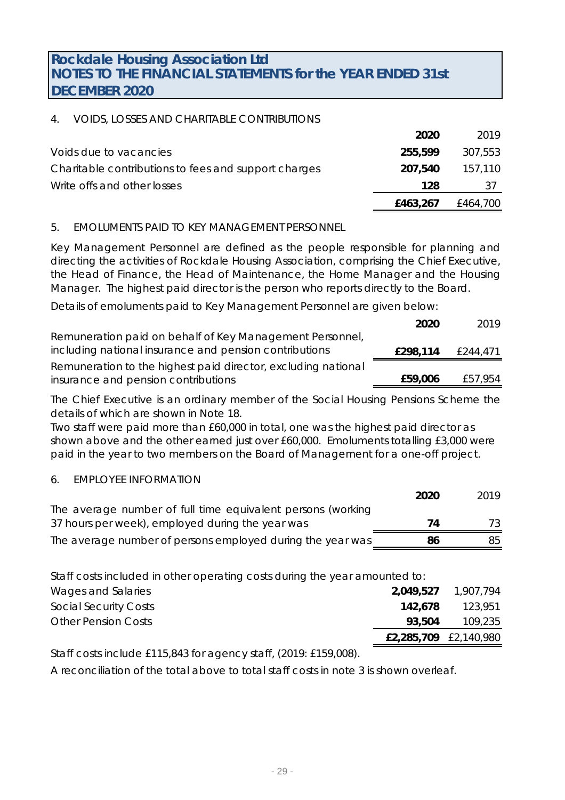# 4. VOIDS, LOSSES AND CHARITABLE CONTRIBUTIONS

|                                                      | 2020     | 2019     |
|------------------------------------------------------|----------|----------|
| Voids due to vacancies                               | 255,599  | 307,553  |
| Charitable contributions to fees and support charges | 207.540  | 157.110  |
| Write offs and other losses                          | 128      | -37      |
|                                                      | £463,267 | £464,700 |

## 5. EMOLUMENTS PAID TO KEY MANAGEMENT PERSONNEL

Key Management Personnel are defined as the people responsible for planning and directing the activities of Rockdale Housing Association, comprising the Chief Executive, the Head of Finance, the Head of Maintenance, the Home Manager and the Housing Manager. The highest paid director is the person who reports directly to the Board.

Details of emoluments paid to Key Management Personnel are given below:

|                                                               | 2020     | 2019     |
|---------------------------------------------------------------|----------|----------|
| Remuneration paid on behalf of Key Management Personnel,      |          |          |
| including national insurance and pension contributions        | £298,114 | £244,471 |
| Remuneration to the highest paid director, excluding national |          |          |
| insurance and pension contributions                           | £59,006  | £57,954  |

The Chief Executive is an ordinary member of the Social Housing Pensions Scheme the details of which are shown in Note 18.

Two staff were paid more than £60,000 in total, one was the highest paid director as shown above and the other earned just over £60,000. Emoluments totalling £3,000 were paid in the year to two members on the Board of Management for a one-off project.

## 6. EMPLOYEE INFORMATION

|                                                             | 2020 | 2019 |
|-------------------------------------------------------------|------|------|
| The average number of full time equivalent persons (working |      |      |
| 37 hours per week), employed during the year was            | 74   | 73.  |
| The average number of persons employed during the year was  | 86   | 85   |

Wages and Salaries **2,049,527** 1,907,794 Social Security Costs **142,678** 123,951 Other Pension Costs **93,504** 109,235 **£2,285,709** £2,140,980 Staff costs included in other operating costs during the year amounted to:

Staff costs include £115,843 for agency staff, (2019: £159,008).

A reconciliation of the total above to total staff costs in note 3 is shown overleaf.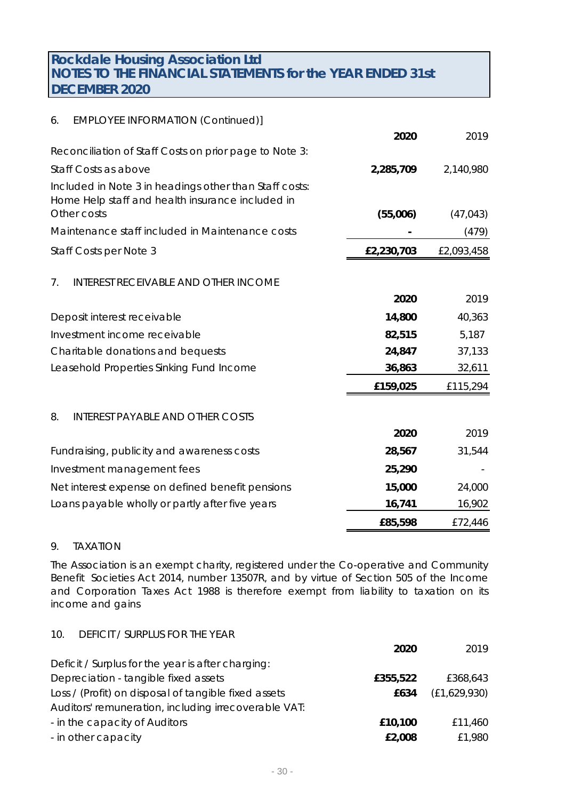| <b>EMPLOYEE INFORMATION (Continued)]</b>                                                                   |                                                                |            |
|------------------------------------------------------------------------------------------------------------|----------------------------------------------------------------|------------|
|                                                                                                            | 2020                                                           | 2019       |
| Reconciliation of Staff Costs on prior page to Note 3:                                                     |                                                                |            |
| Staff Costs as above                                                                                       | 2,285,709                                                      | 2,140,980  |
| Included in Note 3 in headings other than Staff costs:<br>Home Help staff and health insurance included in |                                                                | (47, 043)  |
|                                                                                                            |                                                                |            |
|                                                                                                            |                                                                | (479)      |
| Staff Costs per Note 3                                                                                     | £2,230,703                                                     | £2,093,458 |
| <b>INTEREST RECEIVABLE AND OTHER INCOME</b>                                                                |                                                                |            |
|                                                                                                            | 2020                                                           | 2019       |
| Deposit interest receivable                                                                                | 14,800                                                         | 40,363     |
| Investment income receivable                                                                               | 82,515                                                         | 5,187      |
| Charitable donations and bequests                                                                          | 24,847                                                         | 37,133     |
| Leasehold Properties Sinking Fund Income                                                                   | 36,863                                                         | 32,611     |
|                                                                                                            | £159,025                                                       | £115,294   |
| <b>INTEREST PAYABLE AND OTHER COSTS</b>                                                                    |                                                                |            |
|                                                                                                            | 2020                                                           | 2019       |
| Fundraising, publicity and awareness costs                                                                 | 28,567                                                         | 31,544     |
| Investment management fees                                                                                 | 25,290                                                         |            |
| Net interest expense on defined benefit pensions                                                           | 15,000                                                         | 24,000     |
| Loans payable wholly or partly after five years                                                            | 16,741                                                         | 16,902     |
|                                                                                                            | £85,598                                                        | £72,446    |
|                                                                                                            | Other costs<br>Maintenance staff included in Maintenance costs | (55,006)   |

# 9. TAXATION

10. DEFICIT / SURPLUS FOR THE YEAR

The Association is an exempt charity, registered under the Co-operative and Community Benefit Societies Act 2014, number 13507R, and by virtue of Section 505 of the Income and Corporation Taxes Act 1988 is therefore exempt from liability to taxation on its income and gains

|                                                      | 2020     | 2019         |
|------------------------------------------------------|----------|--------------|
| Deficit / Surplus for the year is after charging:    |          |              |
| Depreciation - tangible fixed assets                 | £355,522 | £368,643     |
| Loss / (Profit) on disposal of tangible fixed assets | £634     | (E1,629,930) |
| Auditors' remuneration, including irrecoverable VAT: |          |              |
| - in the capacity of Auditors                        | £10,100  | £11,460      |
| - in other capacity                                  | £2,008   | £1,980       |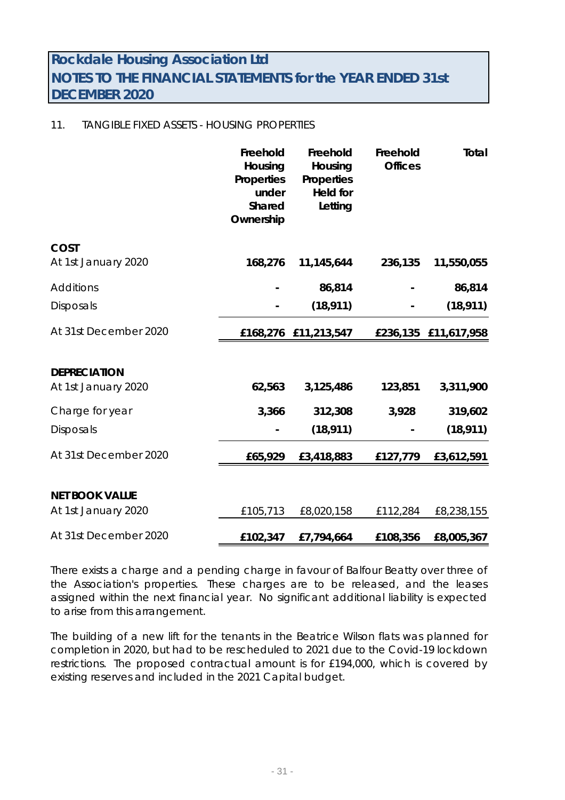## 11. TANGIBLE FIXED ASSETS - HOUSING PROPERTIES

|                       | Freehold<br>Housing<br>Properties<br>under<br>Shared<br>Ownership | Freehold<br>Housing<br>Properties<br><b>Held for</b><br>Letting | Freehold<br><b>Offices</b> | Total                |
|-----------------------|-------------------------------------------------------------------|-----------------------------------------------------------------|----------------------------|----------------------|
| COST                  |                                                                   |                                                                 |                            |                      |
| At 1st January 2020   | 168,276                                                           | 11,145,644                                                      | 236,135                    | 11,550,055           |
| <b>Additions</b>      |                                                                   | 86,814                                                          |                            | 86,814               |
| Disposals             |                                                                   | (18, 911)                                                       |                            | (18, 911)            |
| At 31st December 2020 |                                                                   | £168,276 £11,213,547                                            |                            | £236,135 £11,617,958 |
|                       |                                                                   |                                                                 |                            |                      |
| <b>DEPRECIATION</b>   |                                                                   |                                                                 |                            |                      |
| At 1st January 2020   | 62,563                                                            | 3,125,486                                                       | 123,851                    | 3,311,900            |
| Charge for year       | 3,366                                                             | 312,308                                                         | 3,928                      | 319,602              |
| <b>Disposals</b>      |                                                                   | (18, 911)                                                       |                            | (18, 911)            |
| At 31st December 2020 | £65,929                                                           | £3,418,883                                                      | £127,779                   | £3,612,591           |
|                       |                                                                   |                                                                 |                            |                      |
| <b>NET BOOK VALUE</b> |                                                                   |                                                                 |                            |                      |
| At 1st January 2020   | £105,713                                                          | £8,020,158                                                      | £112,284                   | £8,238,155           |
| At 31st December 2020 | £102,347                                                          | £7,794,664                                                      | £108,356                   | £8,005,367           |

There exists a charge and a pending charge in favour of Balfour Beatty over three of the Association's properties. These charges are to be released, and the leases assigned within the next financial year. No significant additional liability is expected to arise from this arrangement.

The building of a new lift for the tenants in the Beatrice Wilson flats was planned for completion in 2020, but had to be rescheduled to 2021 due to the Covid-19 lockdown restrictions. The proposed contractual amount is for £194,000, which is covered by existing reserves and included in the 2021 Capital budget.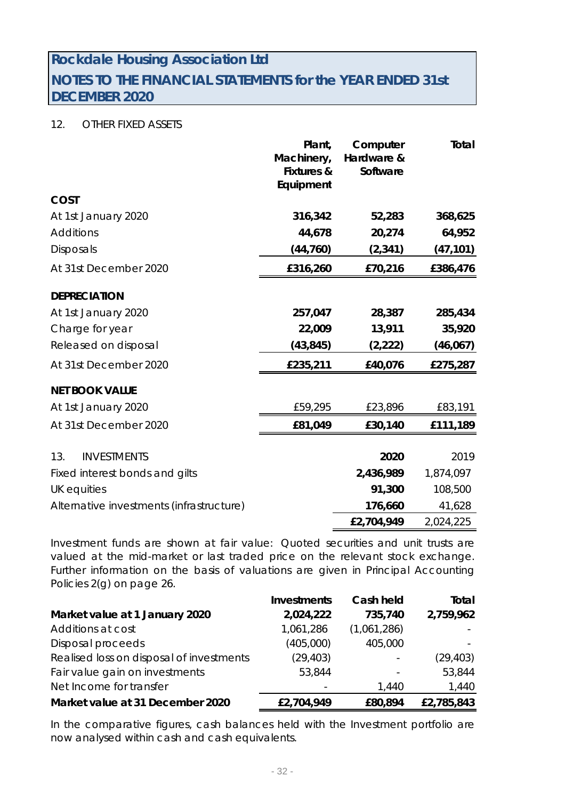# 12. OTHER FIXED ASSETS

|                                          | Plant,<br>Machinery,<br><b>Fixtures &amp;</b><br>Equipment | Computer<br>Hardware &<br>Software | Total     |
|------------------------------------------|------------------------------------------------------------|------------------------------------|-----------|
| COST                                     |                                                            |                                    |           |
| At 1st January 2020                      | 316,342                                                    | 52,283                             | 368,625   |
| <b>Additions</b>                         | 44,678                                                     | 20,274                             | 64,952    |
| <b>Disposals</b>                         | (44, 760)                                                  | (2, 341)                           | (47, 101) |
| At 31st December 2020                    | £316,260                                                   | £70,216                            | £386,476  |
| <b>DEPRECIATION</b>                      |                                                            |                                    |           |
| At 1st January 2020                      | 257,047                                                    | 28,387                             | 285,434   |
| Charge for year                          | 22,009                                                     | 13,911                             | 35,920    |
| Released on disposal                     | (43, 845)                                                  | (2, 222)                           | (46, 067) |
| At 31st December 2020                    | £235,211                                                   | £40,076                            | £275,287  |
| <b>NET BOOK VALUE</b>                    |                                                            |                                    |           |
| At 1st January 2020                      | £59,295                                                    | £23,896                            | £83,191   |
| At 31st December 2020                    | £81,049                                                    | £30,140                            | £111,189  |
| <b>INVESTMENTS</b><br>13.                |                                                            | 2020                               | 2019      |
| Fixed interest bonds and gilts           |                                                            | 2,436,989                          | 1,874,097 |
| UK equities                              |                                                            | 91,300                             | 108,500   |
| Alternative investments (infrastructure) |                                                            | 176,660                            | 41,628    |
|                                          |                                                            | £2,704,949                         | 2,024,225 |

Investment funds are shown at fair value: Quoted securities and unit trusts are valued at the mid-market or last traded price on the relevant stock exchange. Further information on the basis of valuations are given in Principal Accounting Policies 2(g) on page 26.

|                                          | <b>Investments</b> | Cash held   | Total      |
|------------------------------------------|--------------------|-------------|------------|
| Market value at 1 January 2020           | 2,024,222          | 735,740     | 2,759,962  |
| Additions at cost                        | 1,061,286          | (1,061,286) |            |
| Disposal proceeds                        | (405,000)          | 405,000     |            |
| Realised loss on disposal of investments | (29, 403)          |             | (29, 403)  |
| Fair value gain on investments           | 53,844             |             | 53,844     |
| Net Income for transfer                  |                    | 1,440       | 1,440      |
| Market value at 31 December 2020         | £2,704,949         | £80,894     | £2,785,843 |

In the comparative figures, cash balances held with the Investment portfolio are now analysed within cash and cash equivalents.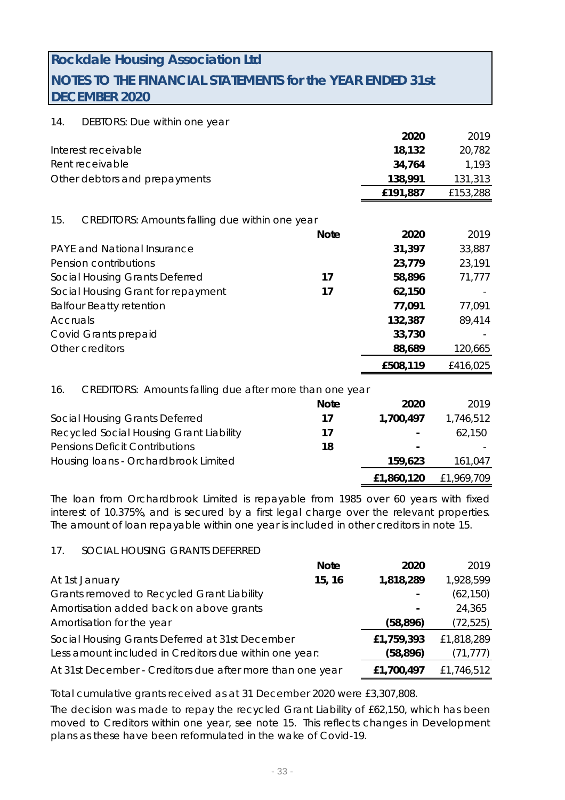# **Rockdale Housing Association Ltd**

# **NOTES TO THE FINANCIAL STATEMENTS for the YEAR ENDED 31st DECEMBER 2020**

#### 14. DEBTORS: Due within one year

|                                                                |             | 2020      | 2019      |
|----------------------------------------------------------------|-------------|-----------|-----------|
| Interest receivable                                            |             | 18,132    | 20,782    |
| Rent receivable                                                |             | 34,764    | 1,193     |
| Other debtors and prepayments                                  |             | 138,991   | 131,313   |
|                                                                |             | £191,887  | £153,288  |
| 15.<br><b>CREDITORS: Amounts falling due within one year</b>   |             |           |           |
|                                                                | <b>Note</b> | 2020      | 2019      |
| <b>PAYE and National Insurance</b>                             |             | 31,397    | 33,887    |
| Pension contributions                                          |             | 23,779    | 23,191    |
| Social Housing Grants Deferred                                 | 17          | 58,896    | 71,777    |
| Social Housing Grant for repayment                             | 17          | 62,150    |           |
| <b>Balfour Beatty retention</b>                                |             | 77,091    | 77,091    |
| Accruals                                                       |             | 132,387   | 89,414    |
| Covid Grants prepaid                                           |             | 33,730    |           |
| Other creditors                                                |             | 88,689    | 120,665   |
|                                                                |             | £508,119  | £416,025  |
| CREDITORS: Amounts falling due after more than one year<br>16. |             |           |           |
|                                                                | <b>Note</b> | 2020      | 2019      |
| Social Housing Grants Deferred                                 | 17          | 1,700,497 | 1,746,512 |
| Recycled Social Housing Grant Liability                        | 17          |           | 62,150    |
| <b>Pensions Deficit Contributions</b>                          | 18          |           |           |
| Housing Ioans - Orchardbrook Limited                           |             | 159,623   | 161,047   |

The loan from Orchardbrook Limited is repayable from 1985 over 60 years with fixed interest of 10.375%, and is secured by a first legal charge over the relevant properties. The amount of loan repayable within one year is included in other creditors in note 15.

**£1,860,120** £1,969,709

#### 17. SOCIAL HOUSING GRANTS DEFERRED

|                                                           | <b>Note</b> | 2020       | 2019       |
|-----------------------------------------------------------|-------------|------------|------------|
| At 1st January                                            | 15, 16      | 1,818,289  | 1,928,599  |
| Grants removed to Recycled Grant Liability                |             |            | (62, 150)  |
| Amortisation added back on above grants                   |             |            | 24,365     |
| Amortisation for the year                                 |             | (58, 896)  | (72, 525)  |
| Social Housing Grants Deferred at 31st December           |             | £1,759,393 | £1,818,289 |
| Less amount included in Creditors due within one year:    |             | (58, 896)  | (71, 777)  |
| At 31st December - Creditors due after more than one year |             | £1,700,497 | £1,746,512 |

Total cumulative grants received as at 31 December 2020 were £3,307,808.

The decision was made to repay the recycled Grant Liability of £62,150, which has been moved to Creditors within one year, see note 15. This reflects changes in Development plans as these have been reformulated in the wake of Covid-19.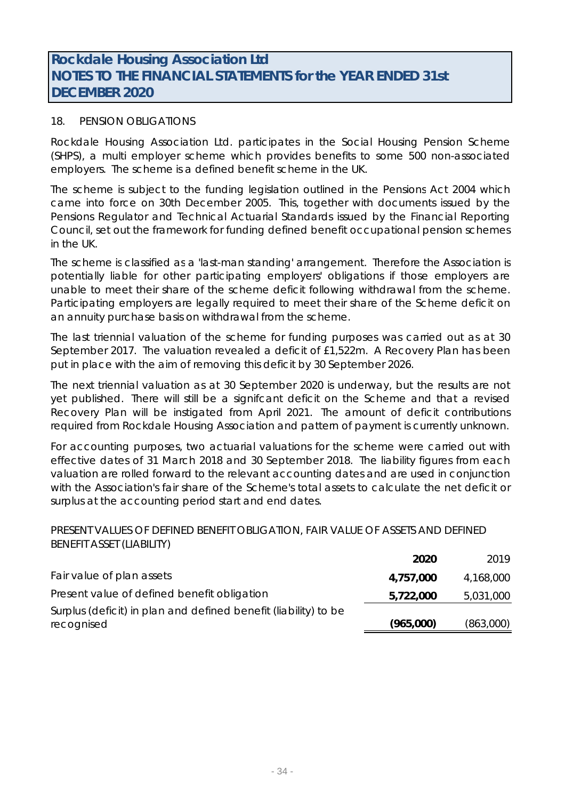## 18. PENSION OBLIGATIONS

Rockdale Housing Association Ltd. participates in the Social Housing Pension Scheme (SHPS), a multi employer scheme which provides benefits to some 500 non-associated employers. The scheme is a defined benefit scheme in the UK.

The scheme is subject to the funding legislation outlined in the Pensions Act 2004 which came into force on 30th December 2005. This, together with documents issued by the Pensions Regulator and Technical Actuarial Standards issued by the Financial Reporting Council, set out the framework for funding defined benefit occupational pension schemes in the UK.

The scheme is classified as a 'last-man standing' arrangement. Therefore the Association is potentially liable for other participating employers' obligations if those employers are unable to meet their share of the scheme deficit following withdrawal from the scheme. Participating employers are legally required to meet their share of the Scheme deficit on an annuity purchase basis on withdrawal from the scheme.

The last triennial valuation of the scheme for funding purposes was carried out as at 30 September 2017. The valuation revealed a deficit of £1,522m. A Recovery Plan has been put in place with the aim of removing this deficit by 30 September 2026.

The next triennial valuation as at 30 September 2020 is underway, but the results are not yet published. There will still be a signifcant deficit on the Scheme and that a revised Recovery Plan will be instigated from April 2021. The amount of deficit contributions required from Rockdale Housing Association and pattern of payment is currently unknown.

For accounting purposes, two actuarial valuations for the scheme were carried out with effective dates of 31 March 2018 and 30 September 2018. The liability figures from each valuation are rolled forward to the relevant accounting dates and are used in conjunction with the Association's fair share of the Scheme's total assets to calculate the net deficit or surplus at the accounting period start and end dates.

## PRESENT VALUES OF DEFINED BENEFIT OBLIGATION, FAIR VALUE OF ASSETS AND DEFINED BENEFIT ASSET (LIABILITY)

|                                                                 | 2020      | 2019      |
|-----------------------------------------------------------------|-----------|-----------|
| Fair value of plan assets                                       | 4,757,000 | 4,168,000 |
| Present value of defined benefit obligation                     | 5,722,000 | 5,031,000 |
| Surplus (deficit) in plan and defined benefit (liability) to be |           |           |
| recognised                                                      | (965,000) | (863,000) |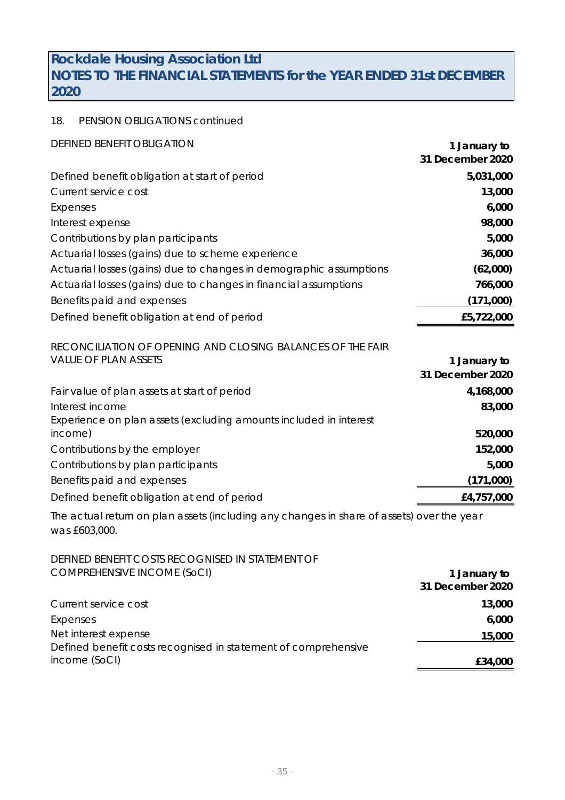## 18. PENSION OBLIGATIONS continued

| <b>DEFINED BENEFIT OBLIGATION</b>                                                         | 1 January to                     |
|-------------------------------------------------------------------------------------------|----------------------------------|
|                                                                                           | 31 December 2020                 |
| Defined benefit obligation at start of period                                             | 5,031,000                        |
| <b>Current service cost</b>                                                               | 13,000                           |
| <b>Expenses</b>                                                                           | 6,000                            |
| Interest expense                                                                          | 98,000                           |
| Contributions by plan participants                                                        | 5,000                            |
| Actuarial losses (gains) due to scheme experience                                         | 36,000                           |
| Actuarial losses (gains) due to changes in demographic assumptions                        | (62,000)                         |
| Actuarial losses (gains) due to changes in financial assumptions                          | 766,000                          |
| Benefits paid and expenses                                                                | (171,000)                        |
| Defined benefit obligation at end of period                                               | £5,722,000                       |
|                                                                                           |                                  |
| RECONCILIATION OF OPENING AND CLOSING BALANCES OF THE FAIR                                |                                  |
| <b>VALUE OF PLAN ASSETS</b>                                                               | 1 January to<br>31 December 2020 |
|                                                                                           |                                  |
| Fair value of plan assets at start of period                                              | 4,168,000                        |
| Interest income<br>Experience on plan assets (excluding amounts included in interest      | 83,000                           |
| income)                                                                                   | 520,000                          |
| Contributions by the employer                                                             | 152,000                          |
| Contributions by plan participants                                                        | 5,000                            |
| Benefits paid and expenses                                                                | (171,000)                        |
| Defined benefit obligation at end of period                                               | £4,757,000                       |
| The actual return on plan assets (including any changes in share of assets) over the year |                                  |
| was £603,000.                                                                             |                                  |
| DEFINED BENEFIT COSTS RECOGNISED IN STATEMENT OF                                          |                                  |
| <b>COMPREHENSIVE INCOME (SoCI)</b>                                                        | 1 January to                     |
|                                                                                           | 31 December 2020                 |
| <b>Current service cost</b>                                                               | 13,000                           |
| <b>Expenses</b>                                                                           | 6,000                            |
| Net interest expense                                                                      | 15,000                           |

income (SoCI) **£34,000**

Defined benefit costs recognised in statement of comprehensive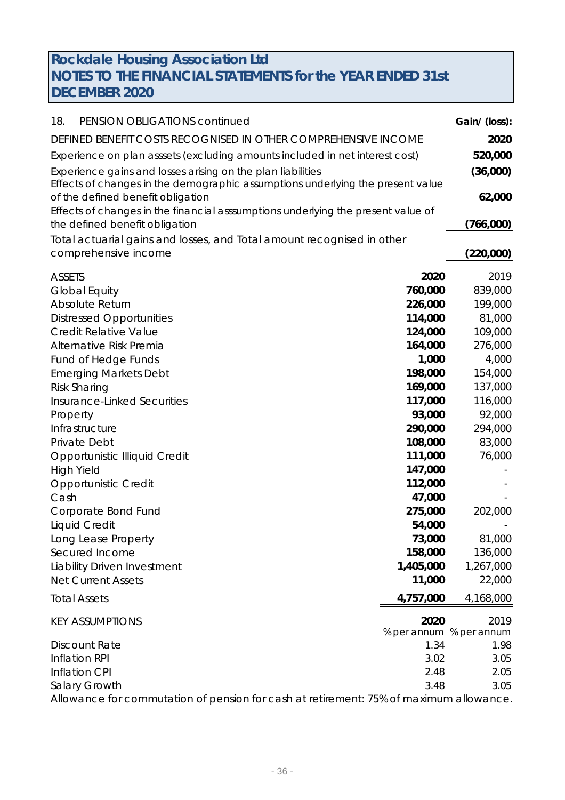| 18.<br>PENSION OBLIGATIONS continued                                                                                |           | Gain/ (loss):           |
|---------------------------------------------------------------------------------------------------------------------|-----------|-------------------------|
| DEFINED BENEFIT COSTS RECOGNISED IN OTHER COMPREHENSIVE INCOME                                                      |           | 2020                    |
| Experience on plan asssets (excluding amounts included in net interest cost)                                        |           | 520,000                 |
| Experience gains and losses arising on the plan liabilities                                                         |           | (36,000)                |
| Effects of changes in the demographic assumptions underlying the present value<br>of the defined benefit obligation |           | 62,000                  |
| Effects of changes in the financial asssumptions underlying the present value of                                    |           |                         |
| the defined benefit obligation                                                                                      |           | (766,000)               |
| Total actuarial gains and losses, and Total amount recognised in other                                              |           |                         |
| comprehensive income                                                                                                |           | (220,000)               |
| <b>ASSETS</b>                                                                                                       | 2020      | 2019                    |
| <b>Global Equity</b>                                                                                                | 760,000   | 839,000                 |
| <b>Absolute Return</b>                                                                                              | 226,000   | 199,000                 |
| <b>Distressed Opportunities</b>                                                                                     | 114,000   | 81,000                  |
| <b>Credit Relative Value</b>                                                                                        | 124,000   | 109,000                 |
| Alternative Risk Premia                                                                                             | 164,000   | 276,000                 |
| <b>Fund of Hedge Funds</b>                                                                                          | 1,000     | 4,000                   |
| <b>Emerging Markets Debt</b>                                                                                        | 198,000   | 154,000                 |
| <b>Risk Sharing</b>                                                                                                 | 169,000   | 137,000                 |
| <b>Insurance-Linked Securities</b>                                                                                  | 117,000   | 116,000                 |
| Property                                                                                                            | 93,000    | 92,000                  |
| Infrastructure                                                                                                      | 290,000   | 294,000                 |
| Private Debt                                                                                                        | 108,000   | 83,000                  |
| <b>Opportunistic Illiquid Credit</b>                                                                                | 111,000   | 76,000                  |
| <b>High Yield</b>                                                                                                   | 147,000   |                         |
| <b>Opportunistic Credit</b>                                                                                         | 112,000   |                         |
| Cash                                                                                                                | 47,000    |                         |
| Corporate Bond Fund                                                                                                 | 275,000   | 202,000                 |
| <b>Liquid Credit</b>                                                                                                | 54,000    |                         |
| Long Lease Property                                                                                                 | 73,000    | 81,000                  |
| Secured Income                                                                                                      | 158,000   | 136,000                 |
| <b>Liability Driven Investment</b>                                                                                  | 1,405,000 | 1,267,000               |
| <b>Net Current Assets</b>                                                                                           | 11,000    | 22,000                  |
| <b>Total Assets</b>                                                                                                 | 4,757,000 | 4,168,000               |
| <b>KEY ASSUMPTIONS</b>                                                                                              | 2020      | 2019                    |
|                                                                                                                     |           | % per annum % per annum |
| <b>Discount Rate</b>                                                                                                | 1.34      | 1.98                    |
| Inflation RPI                                                                                                       | 3.02      | 3.05                    |
| <b>Inflation CPI</b>                                                                                                | 2.48      | 2.05                    |
| Salary Growth                                                                                                       | 3.48      | 3.05                    |

Allowance for commutation of pension for cash at retirement: 75% of maximum allowance.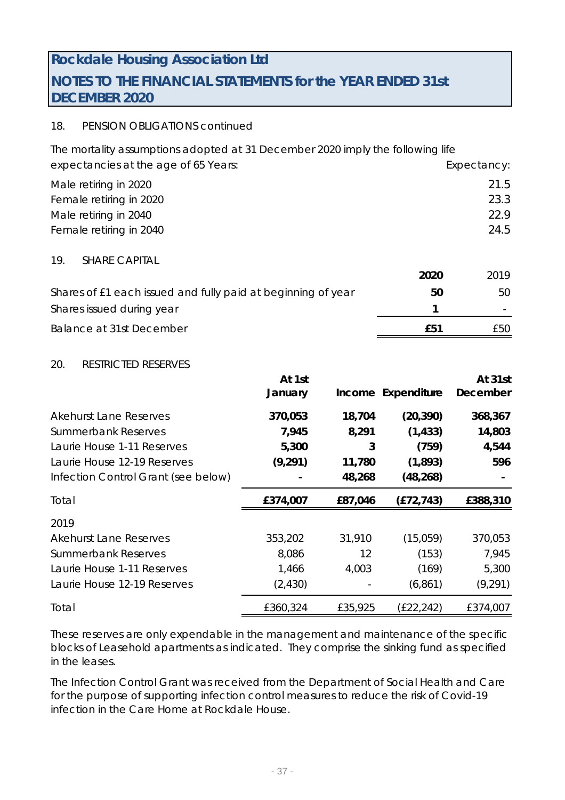# 18. PENSION OBLIGATIONS continued

The mortality assumptions adopted at 31 December 2020 imply the following life expectancies at the age of 65 Years: expectancy: Expectancy: Male retiring in 2020 21.5 Female retiring in 2020 23.3 Male retiring in 2040 22.9 Female retiring in 2040 24.5 19. SHARE CAPITAL

|                                                              | 2020 | 2019 |
|--------------------------------------------------------------|------|------|
| Shares of £1 each issued and fully paid at beginning of year | 50   | 50.  |
| Shares issued during year                                    |      |      |
| Balance at 31st December                                     | f51  | £50. |

#### 20. RESTRICTED RESERVES

|                                     | At 1st   |         |                    | At 31st  |
|-------------------------------------|----------|---------|--------------------|----------|
|                                     | January  |         | Income Expenditure | December |
| <b>Akehurst Lane Reserves</b>       | 370,053  | 18,704  | (20, 390)          | 368,367  |
| <b>Summerbank Reserves</b>          | 7,945    | 8,291   | (1, 433)           | 14,803   |
| Laurie House 1-11 Reserves          | 5,300    | 3       | (759)              | 4,544    |
| Laurie House 12-19 Reserves         | (9, 291) | 11,780  | (1,893)            | 596      |
| Infection Control Grant (see below) |          | 48,268  | (48, 268)          |          |
| Total                               | £374,007 | £87,046 | (E72, 743)         | £388,310 |
| 2019                                |          |         |                    |          |
| <b>Akehurst Lane Reserves</b>       | 353,202  | 31,910  | (15,059)           | 370,053  |
| <b>Summerbank Reserves</b>          | 8,086    | 12      | (153)              | 7,945    |
| Laurie House 1-11 Reserves          | 1,466    | 4,003   | (169)              | 5,300    |
| Laurie House 12-19 Reserves         | (2, 430) |         | (6, 861)           | (9, 291) |
| Total                               | £360,324 | £35,925 | (E22, 242)         | £374,007 |

These reserves are only expendable in the management and maintenance of the specific blocks of Leasehold apartments as indicated. They comprise the sinking fund as specified in the leases.

The Infection Control Grant was received from the Department of Social Health and Care for the purpose of supporting infection control measures to reduce the risk of Covid-19 infection in the Care Home at Rockdale House.